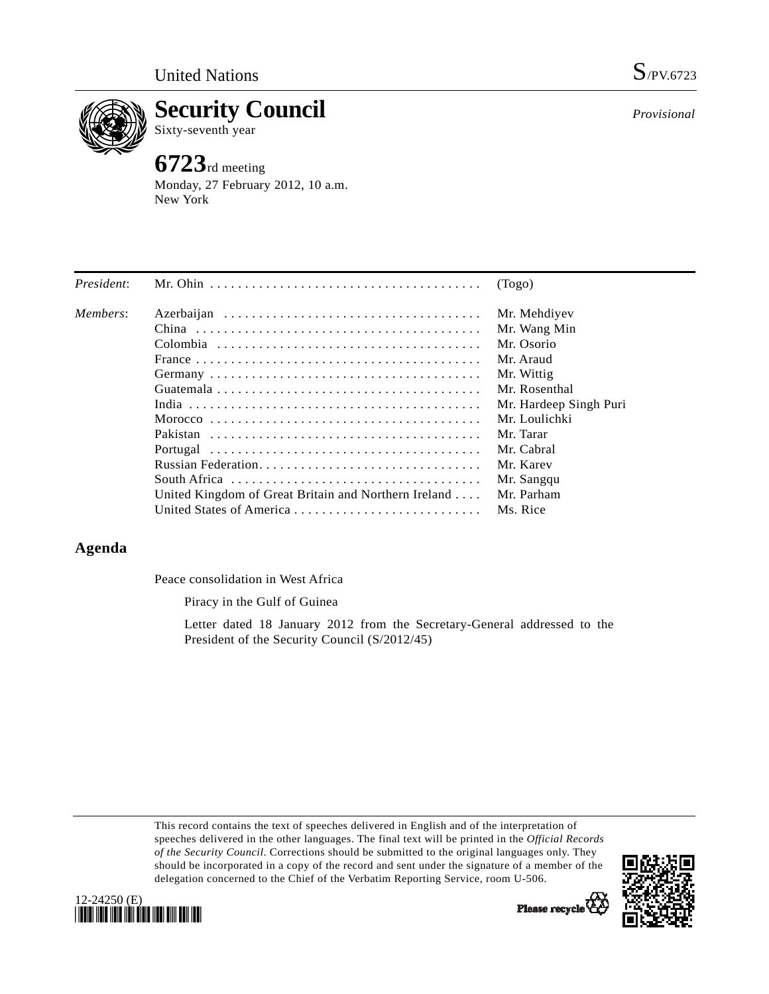

**Security Council**  Sixty-seventh year

# **6723**rd meeting

Monday, 27 February 2012, 10 a.m. New York

*Provisional*

| President: |                                                      | (Togo)                 |
|------------|------------------------------------------------------|------------------------|
| Members:   |                                                      | Mr. Mehdiyev           |
|            |                                                      | Mr. Wang Min           |
|            |                                                      | Mr. Osorio             |
|            |                                                      | Mr. Araud              |
|            |                                                      | Mr. Wittig             |
|            |                                                      | Mr. Rosenthal          |
|            |                                                      | Mr. Hardeep Singh Puri |
|            |                                                      | Mr. Loulichki          |
|            |                                                      | Mr. Tarar              |
|            |                                                      | Mr. Cabral             |
|            |                                                      | Mr. Karev              |
|            |                                                      | Mr. Sangqu             |
|            | United Kingdom of Great Britain and Northern Ireland | Mr. Parham             |
|            | United States of America                             | Ms. Rice               |

# **Agenda**

Peace consolidation in West Africa

Piracy in the Gulf of Guinea

 Letter dated 18 January 2012 from the Secretary-General addressed to the President of the Security Council (S/2012/45)

This record contains the text of speeches delivered in English and of the interpretation of speeches delivered in the other languages. The final text will be printed in the *Official Records of the Security Council*. Corrections should be submitted to the original languages only. They should be incorporated in a copy of the record and sent under the signature of a member of the delegation concerned to the Chief of the Verbatim Reporting Service, room U-506.





Please recycle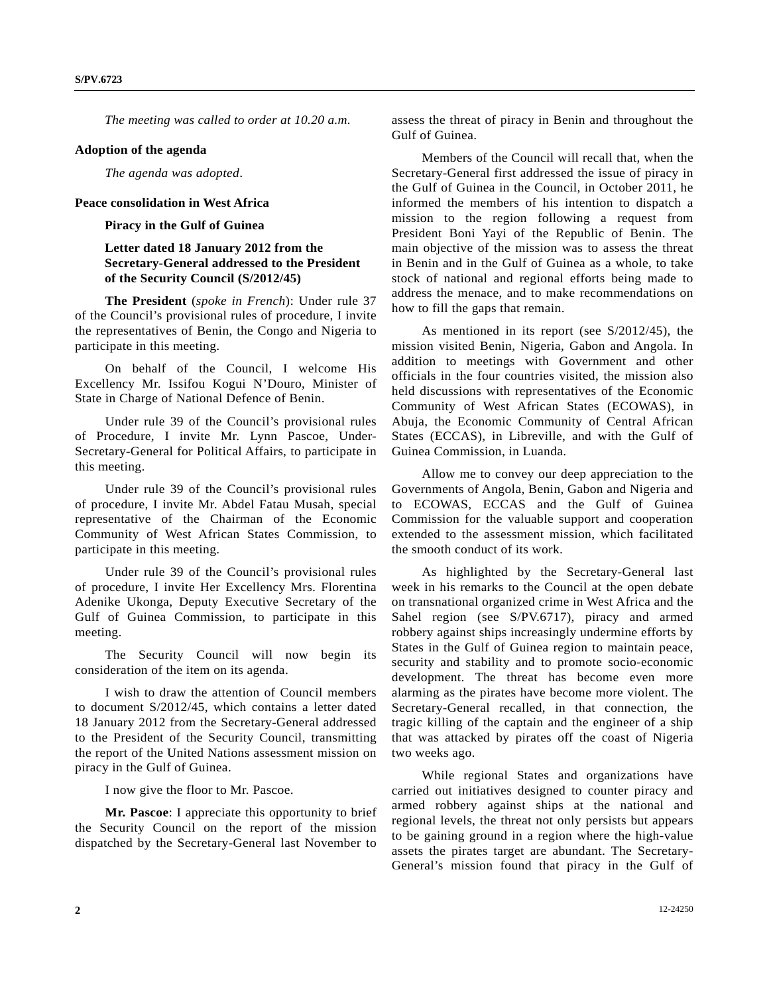*The meeting was called to order at 10.20 a.m.* 

#### **Adoption of the agenda**

*The agenda was adopted*.

#### **Peace consolidation in West Africa**

### **Piracy in the Gulf of Guinea**

## **Letter dated 18 January 2012 from the Secretary-General addressed to the President of the Security Council (S/2012/45)**

**The President** (*spoke in French*): Under rule 37 of the Council's provisional rules of procedure, I invite the representatives of Benin, the Congo and Nigeria to participate in this meeting.

 On behalf of the Council, I welcome His Excellency Mr. Issifou Kogui N'Douro, Minister of State in Charge of National Defence of Benin.

 Under rule 39 of the Council's provisional rules of Procedure, I invite Mr. Lynn Pascoe, Under-Secretary-General for Political Affairs, to participate in this meeting.

 Under rule 39 of the Council's provisional rules of procedure, I invite Mr. Abdel Fatau Musah, special representative of the Chairman of the Economic Community of West African States Commission, to participate in this meeting.

 Under rule 39 of the Council's provisional rules of procedure, I invite Her Excellency Mrs. Florentina Adenike Ukonga, Deputy Executive Secretary of the Gulf of Guinea Commission, to participate in this meeting.

 The Security Council will now begin its consideration of the item on its agenda.

 I wish to draw the attention of Council members to document S/2012/45, which contains a letter dated 18 January 2012 from the Secretary-General addressed to the President of the Security Council, transmitting the report of the United Nations assessment mission on piracy in the Gulf of Guinea.

I now give the floor to Mr. Pascoe.

 **Mr. Pascoe**: I appreciate this opportunity to brief the Security Council on the report of the mission dispatched by the Secretary-General last November to

assess the threat of piracy in Benin and throughout the Gulf of Guinea.

 Members of the Council will recall that, when the Secretary-General first addressed the issue of piracy in the Gulf of Guinea in the Council, in October 2011, he informed the members of his intention to dispatch a mission to the region following a request from President Boni Yayi of the Republic of Benin. The main objective of the mission was to assess the threat in Benin and in the Gulf of Guinea as a whole, to take stock of national and regional efforts being made to address the menace, and to make recommendations on how to fill the gaps that remain.

 As mentioned in its report (see S/2012/45), the mission visited Benin, Nigeria, Gabon and Angola. In addition to meetings with Government and other officials in the four countries visited, the mission also held discussions with representatives of the Economic Community of West African States (ECOWAS), in Abuja, the Economic Community of Central African States (ECCAS), in Libreville, and with the Gulf of Guinea Commission, in Luanda.

 Allow me to convey our deep appreciation to the Governments of Angola, Benin, Gabon and Nigeria and to ECOWAS, ECCAS and the Gulf of Guinea Commission for the valuable support and cooperation extended to the assessment mission, which facilitated the smooth conduct of its work.

 As highlighted by the Secretary-General last week in his remarks to the Council at the open debate on transnational organized crime in West Africa and the Sahel region (see S/PV.6717), piracy and armed robbery against ships increasingly undermine efforts by States in the Gulf of Guinea region to maintain peace, security and stability and to promote socio-economic development. The threat has become even more alarming as the pirates have become more violent. The Secretary-General recalled, in that connection, the tragic killing of the captain and the engineer of a ship that was attacked by pirates off the coast of Nigeria two weeks ago.

 While regional States and organizations have carried out initiatives designed to counter piracy and armed robbery against ships at the national and regional levels, the threat not only persists but appears to be gaining ground in a region where the high-value assets the pirates target are abundant. The Secretary-General's mission found that piracy in the Gulf of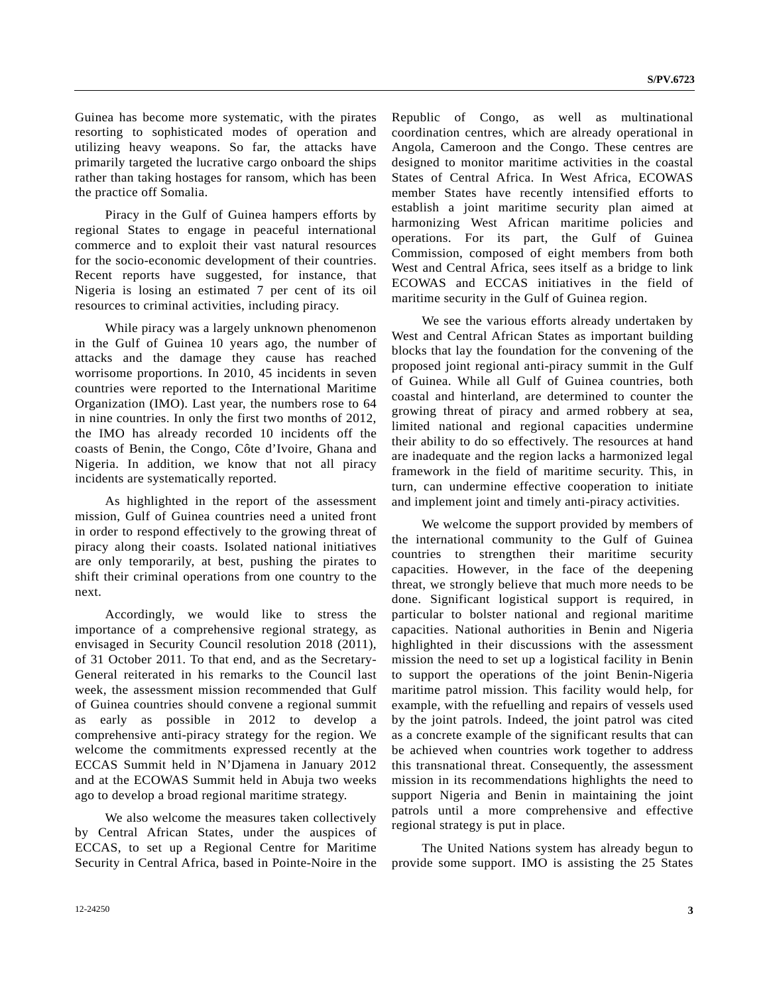Guinea has become more systematic, with the pirates resorting to sophisticated modes of operation and utilizing heavy weapons. So far, the attacks have primarily targeted the lucrative cargo onboard the ships rather than taking hostages for ransom, which has been the practice off Somalia.

 Piracy in the Gulf of Guinea hampers efforts by regional States to engage in peaceful international commerce and to exploit their vast natural resources for the socio-economic development of their countries. Recent reports have suggested, for instance, that Nigeria is losing an estimated 7 per cent of its oil resources to criminal activities, including piracy.

 While piracy was a largely unknown phenomenon in the Gulf of Guinea 10 years ago, the number of attacks and the damage they cause has reached worrisome proportions. In 2010, 45 incidents in seven countries were reported to the International Maritime Organization (IMO). Last year, the numbers rose to 64 in nine countries. In only the first two months of 2012, the IMO has already recorded 10 incidents off the coasts of Benin, the Congo, Côte d'Ivoire, Ghana and Nigeria. In addition, we know that not all piracy incidents are systematically reported.

 As highlighted in the report of the assessment mission, Gulf of Guinea countries need a united front in order to respond effectively to the growing threat of piracy along their coasts. Isolated national initiatives are only temporarily, at best, pushing the pirates to shift their criminal operations from one country to the next.

 Accordingly, we would like to stress the importance of a comprehensive regional strategy, as envisaged in Security Council resolution 2018 (2011), of 31 October 2011. To that end, and as the Secretary-General reiterated in his remarks to the Council last week, the assessment mission recommended that Gulf of Guinea countries should convene a regional summit as early as possible in 2012 to develop a comprehensive anti-piracy strategy for the region. We welcome the commitments expressed recently at the ECCAS Summit held in N'Djamena in January 2012 and at the ECOWAS Summit held in Abuja two weeks ago to develop a broad regional maritime strategy.

 We also welcome the measures taken collectively by Central African States, under the auspices of ECCAS, to set up a Regional Centre for Maritime Security in Central Africa, based in Pointe-Noire in the

Republic of Congo, as well as multinational coordination centres, which are already operational in Angola, Cameroon and the Congo. These centres are designed to monitor maritime activities in the coastal States of Central Africa. In West Africa, ECOWAS member States have recently intensified efforts to establish a joint maritime security plan aimed at harmonizing West African maritime policies and operations. For its part, the Gulf of Guinea Commission, composed of eight members from both West and Central Africa, sees itself as a bridge to link ECOWAS and ECCAS initiatives in the field of maritime security in the Gulf of Guinea region.

 We see the various efforts already undertaken by West and Central African States as important building blocks that lay the foundation for the convening of the proposed joint regional anti-piracy summit in the Gulf of Guinea. While all Gulf of Guinea countries, both coastal and hinterland, are determined to counter the growing threat of piracy and armed robbery at sea, limited national and regional capacities undermine their ability to do so effectively. The resources at hand are inadequate and the region lacks a harmonized legal framework in the field of maritime security. This, in turn, can undermine effective cooperation to initiate and implement joint and timely anti-piracy activities.

 We welcome the support provided by members of the international community to the Gulf of Guinea countries to strengthen their maritime security capacities. However, in the face of the deepening threat, we strongly believe that much more needs to be done. Significant logistical support is required, in particular to bolster national and regional maritime capacities. National authorities in Benin and Nigeria highlighted in their discussions with the assessment mission the need to set up a logistical facility in Benin to support the operations of the joint Benin-Nigeria maritime patrol mission. This facility would help, for example, with the refuelling and repairs of vessels used by the joint patrols. Indeed, the joint patrol was cited as a concrete example of the significant results that can be achieved when countries work together to address this transnational threat. Consequently, the assessment mission in its recommendations highlights the need to support Nigeria and Benin in maintaining the joint patrols until a more comprehensive and effective regional strategy is put in place.

 The United Nations system has already begun to provide some support. IMO is assisting the 25 States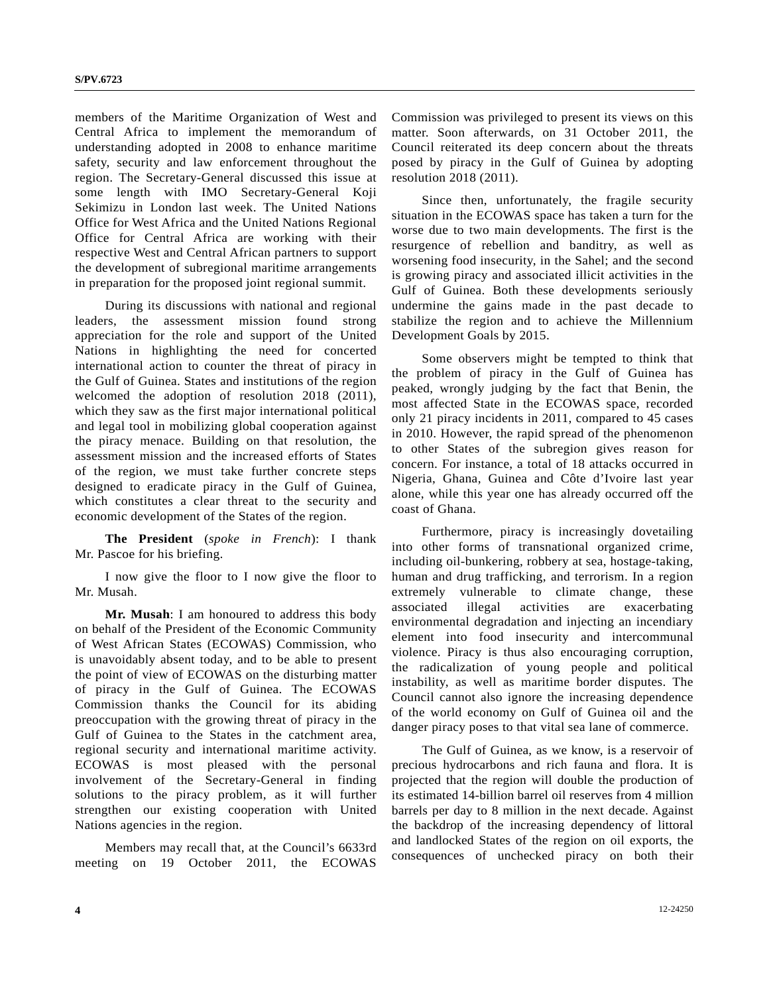members of the Maritime Organization of West and Central Africa to implement the memorandum of understanding adopted in 2008 to enhance maritime safety, security and law enforcement throughout the region. The Secretary-General discussed this issue at some length with IMO Secretary-General Koji Sekimizu in London last week. The United Nations Office for West Africa and the United Nations Regional Office for Central Africa are working with their respective West and Central African partners to support the development of subregional maritime arrangements in preparation for the proposed joint regional summit.

 During its discussions with national and regional leaders, the assessment mission found strong appreciation for the role and support of the United Nations in highlighting the need for concerted international action to counter the threat of piracy in the Gulf of Guinea. States and institutions of the region welcomed the adoption of resolution 2018 (2011), which they saw as the first major international political and legal tool in mobilizing global cooperation against the piracy menace. Building on that resolution, the assessment mission and the increased efforts of States of the region, we must take further concrete steps designed to eradicate piracy in the Gulf of Guinea, which constitutes a clear threat to the security and economic development of the States of the region.

**The President** (*spoke in French*): I thank Mr. Pascoe for his briefing.

 I now give the floor to I now give the floor to Mr. Musah.

**Mr. Musah**: I am honoured to address this body on behalf of the President of the Economic Community of West African States (ECOWAS) Commission, who is unavoidably absent today, and to be able to present the point of view of ECOWAS on the disturbing matter of piracy in the Gulf of Guinea. The ECOWAS Commission thanks the Council for its abiding preoccupation with the growing threat of piracy in the Gulf of Guinea to the States in the catchment area, regional security and international maritime activity. ECOWAS is most pleased with the personal involvement of the Secretary-General in finding solutions to the piracy problem, as it will further strengthen our existing cooperation with United Nations agencies in the region.

 Members may recall that, at the Council's 6633rd meeting on 19 October 2011, the ECOWAS Commission was privileged to present its views on this matter. Soon afterwards, on 31 October 2011, the Council reiterated its deep concern about the threats posed by piracy in the Gulf of Guinea by adopting resolution 2018 (2011).

 Since then, unfortunately, the fragile security situation in the ECOWAS space has taken a turn for the worse due to two main developments. The first is the resurgence of rebellion and banditry, as well as worsening food insecurity, in the Sahel; and the second is growing piracy and associated illicit activities in the Gulf of Guinea. Both these developments seriously undermine the gains made in the past decade to stabilize the region and to achieve the Millennium Development Goals by 2015.

 Some observers might be tempted to think that the problem of piracy in the Gulf of Guinea has peaked, wrongly judging by the fact that Benin, the most affected State in the ECOWAS space, recorded only 21 piracy incidents in 2011, compared to 45 cases in 2010. However, the rapid spread of the phenomenon to other States of the subregion gives reason for concern. For instance, a total of 18 attacks occurred in Nigeria, Ghana, Guinea and Côte d'Ivoire last year alone, while this year one has already occurred off the coast of Ghana.

 Furthermore, piracy is increasingly dovetailing into other forms of transnational organized crime, including oil-bunkering, robbery at sea, hostage-taking, human and drug trafficking, and terrorism. In a region extremely vulnerable to climate change, these associated illegal activities are exacerbating environmental degradation and injecting an incendiary element into food insecurity and intercommunal violence. Piracy is thus also encouraging corruption, the radicalization of young people and political instability, as well as maritime border disputes. The Council cannot also ignore the increasing dependence of the world economy on Gulf of Guinea oil and the danger piracy poses to that vital sea lane of commerce.

 The Gulf of Guinea, as we know, is a reservoir of precious hydrocarbons and rich fauna and flora. It is projected that the region will double the production of its estimated 14-billion barrel oil reserves from 4 million barrels per day to 8 million in the next decade. Against the backdrop of the increasing dependency of littoral and landlocked States of the region on oil exports, the consequences of unchecked piracy on both their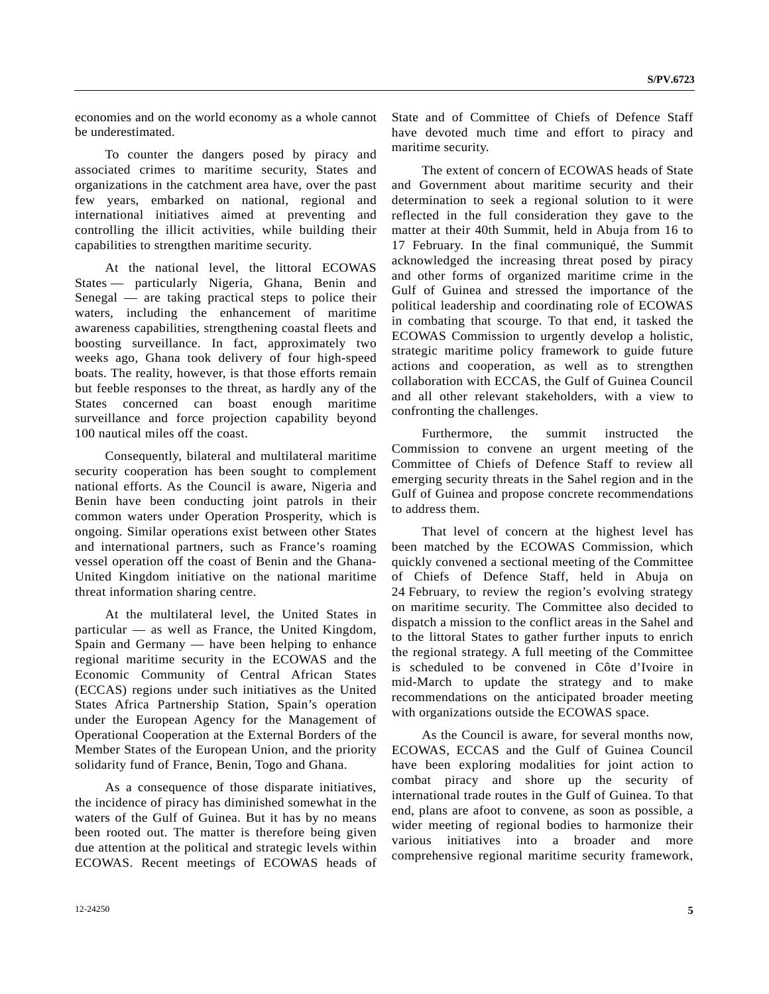economies and on the world economy as a whole cannot be underestimated.

 To counter the dangers posed by piracy and associated crimes to maritime security, States and organizations in the catchment area have, over the past few years, embarked on national, regional and international initiatives aimed at preventing and controlling the illicit activities, while building their capabilities to strengthen maritime security.

 At the national level, the littoral ECOWAS States — particularly Nigeria, Ghana, Benin and Senegal — are taking practical steps to police their waters, including the enhancement of maritime awareness capabilities, strengthening coastal fleets and boosting surveillance. In fact, approximately two weeks ago, Ghana took delivery of four high-speed boats. The reality, however, is that those efforts remain but feeble responses to the threat, as hardly any of the States concerned can boast enough maritime surveillance and force projection capability beyond 100 nautical miles off the coast.

 Consequently, bilateral and multilateral maritime security cooperation has been sought to complement national efforts. As the Council is aware, Nigeria and Benin have been conducting joint patrols in their common waters under Operation Prosperity, which is ongoing. Similar operations exist between other States and international partners, such as France's roaming vessel operation off the coast of Benin and the Ghana-United Kingdom initiative on the national maritime threat information sharing centre.

 At the multilateral level, the United States in particular — as well as France, the United Kingdom, Spain and Germany — have been helping to enhance regional maritime security in the ECOWAS and the Economic Community of Central African States (ECCAS) regions under such initiatives as the United States Africa Partnership Station, Spain's operation under the European Agency for the Management of Operational Cooperation at the External Borders of the Member States of the European Union, and the priority solidarity fund of France, Benin, Togo and Ghana.

 As a consequence of those disparate initiatives, the incidence of piracy has diminished somewhat in the waters of the Gulf of Guinea. But it has by no means been rooted out. The matter is therefore being given due attention at the political and strategic levels within ECOWAS. Recent meetings of ECOWAS heads of State and of Committee of Chiefs of Defence Staff have devoted much time and effort to piracy and maritime security.

 The extent of concern of ECOWAS heads of State and Government about maritime security and their determination to seek a regional solution to it were reflected in the full consideration they gave to the matter at their 40th Summit, held in Abuja from 16 to 17 February. In the final communiqué, the Summit acknowledged the increasing threat posed by piracy and other forms of organized maritime crime in the Gulf of Guinea and stressed the importance of the political leadership and coordinating role of ECOWAS in combating that scourge. To that end, it tasked the ECOWAS Commission to urgently develop a holistic, strategic maritime policy framework to guide future actions and cooperation, as well as to strengthen collaboration with ECCAS, the Gulf of Guinea Council and all other relevant stakeholders, with a view to confronting the challenges.

 Furthermore, the summit instructed the Commission to convene an urgent meeting of the Committee of Chiefs of Defence Staff to review all emerging security threats in the Sahel region and in the Gulf of Guinea and propose concrete recommendations to address them.

 That level of concern at the highest level has been matched by the ECOWAS Commission, which quickly convened a sectional meeting of the Committee of Chiefs of Defence Staff, held in Abuja on 24 February, to review the region's evolving strategy on maritime security. The Committee also decided to dispatch a mission to the conflict areas in the Sahel and to the littoral States to gather further inputs to enrich the regional strategy. A full meeting of the Committee is scheduled to be convened in Côte d'Ivoire in mid-March to update the strategy and to make recommendations on the anticipated broader meeting with organizations outside the ECOWAS space.

 As the Council is aware, for several months now, ECOWAS, ECCAS and the Gulf of Guinea Council have been exploring modalities for joint action to combat piracy and shore up the security of international trade routes in the Gulf of Guinea. To that end, plans are afoot to convene, as soon as possible, a wider meeting of regional bodies to harmonize their various initiatives into a broader and more comprehensive regional maritime security framework,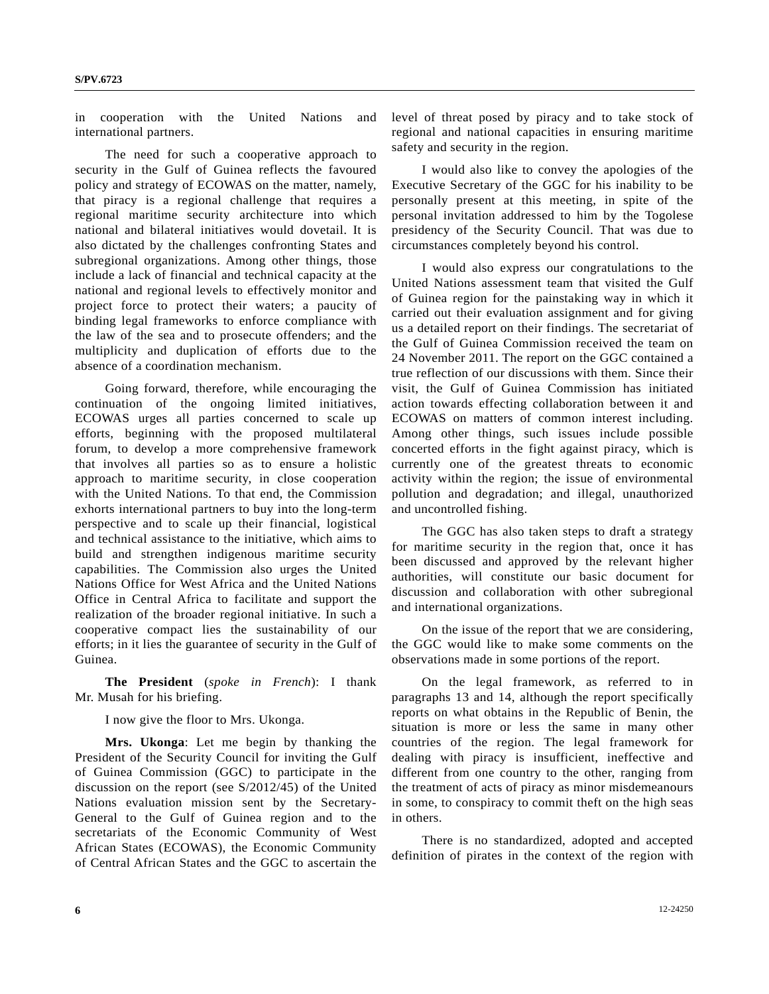in cooperation with the United Nations and international partners.

 The need for such a cooperative approach to security in the Gulf of Guinea reflects the favoured policy and strategy of ECOWAS on the matter, namely, that piracy is a regional challenge that requires a regional maritime security architecture into which national and bilateral initiatives would dovetail. It is also dictated by the challenges confronting States and subregional organizations. Among other things, those include a lack of financial and technical capacity at the national and regional levels to effectively monitor and project force to protect their waters; a paucity of binding legal frameworks to enforce compliance with the law of the sea and to prosecute offenders; and the multiplicity and duplication of efforts due to the absence of a coordination mechanism.

 Going forward, therefore, while encouraging the continuation of the ongoing limited initiatives, ECOWAS urges all parties concerned to scale up efforts, beginning with the proposed multilateral forum, to develop a more comprehensive framework that involves all parties so as to ensure a holistic approach to maritime security, in close cooperation with the United Nations. To that end, the Commission exhorts international partners to buy into the long-term perspective and to scale up their financial, logistical and technical assistance to the initiative, which aims to build and strengthen indigenous maritime security capabilities. The Commission also urges the United Nations Office for West Africa and the United Nations Office in Central Africa to facilitate and support the realization of the broader regional initiative. In such a cooperative compact lies the sustainability of our efforts; in it lies the guarantee of security in the Gulf of Guinea.

**The President** (*spoke in French*): I thank Mr. Musah for his briefing.

I now give the floor to Mrs. Ukonga.

**Mrs. Ukonga**: Let me begin by thanking the President of the Security Council for inviting the Gulf of Guinea Commission (GGC) to participate in the discussion on the report (see S/2012/45) of the United Nations evaluation mission sent by the Secretary-General to the Gulf of Guinea region and to the secretariats of the Economic Community of West African States (ECOWAS), the Economic Community of Central African States and the GGC to ascertain the level of threat posed by piracy and to take stock of regional and national capacities in ensuring maritime safety and security in the region.

 I would also like to convey the apologies of the Executive Secretary of the GGC for his inability to be personally present at this meeting, in spite of the personal invitation addressed to him by the Togolese presidency of the Security Council. That was due to circumstances completely beyond his control.

 I would also express our congratulations to the United Nations assessment team that visited the Gulf of Guinea region for the painstaking way in which it carried out their evaluation assignment and for giving us a detailed report on their findings. The secretariat of the Gulf of Guinea Commission received the team on 24 November 2011. The report on the GGC contained a true reflection of our discussions with them. Since their visit, the Gulf of Guinea Commission has initiated action towards effecting collaboration between it and ECOWAS on matters of common interest including. Among other things, such issues include possible concerted efforts in the fight against piracy, which is currently one of the greatest threats to economic activity within the region; the issue of environmental pollution and degradation; and illegal, unauthorized and uncontrolled fishing.

 The GGC has also taken steps to draft a strategy for maritime security in the region that, once it has been discussed and approved by the relevant higher authorities, will constitute our basic document for discussion and collaboration with other subregional and international organizations.

 On the issue of the report that we are considering, the GGC would like to make some comments on the observations made in some portions of the report.

 On the legal framework, as referred to in paragraphs 13 and 14, although the report specifically reports on what obtains in the Republic of Benin, the situation is more or less the same in many other countries of the region. The legal framework for dealing with piracy is insufficient, ineffective and different from one country to the other, ranging from the treatment of acts of piracy as minor misdemeanours in some, to conspiracy to commit theft on the high seas in others.

 There is no standardized, adopted and accepted definition of pirates in the context of the region with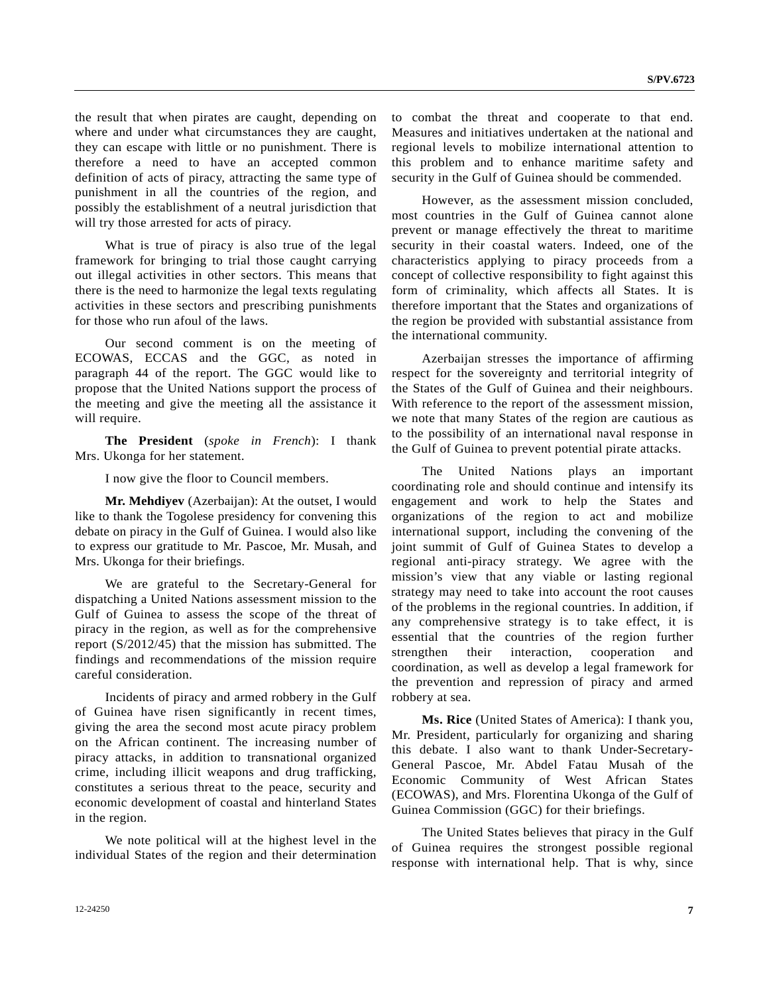the result that when pirates are caught, depending on where and under what circumstances they are caught, they can escape with little or no punishment. There is therefore a need to have an accepted common definition of acts of piracy, attracting the same type of punishment in all the countries of the region, and possibly the establishment of a neutral jurisdiction that will try those arrested for acts of piracy.

 What is true of piracy is also true of the legal framework for bringing to trial those caught carrying out illegal activities in other sectors. This means that there is the need to harmonize the legal texts regulating activities in these sectors and prescribing punishments for those who run afoul of the laws.

 Our second comment is on the meeting of ECOWAS, ECCAS and the GGC, as noted in paragraph 44 of the report. The GGC would like to propose that the United Nations support the process of the meeting and give the meeting all the assistance it will require.

 **The President** (*spoke in French*): I thank Mrs. Ukonga for her statement.

I now give the floor to Council members.

 **Mr. Mehdiyev** (Azerbaijan): At the outset, I would like to thank the Togolese presidency for convening this debate on piracy in the Gulf of Guinea. I would also like to express our gratitude to Mr. Pascoe, Mr. Musah, and Mrs. Ukonga for their briefings.

 We are grateful to the Secretary-General for dispatching a United Nations assessment mission to the Gulf of Guinea to assess the scope of the threat of piracy in the region, as well as for the comprehensive report (S/2012/45) that the mission has submitted. The findings and recommendations of the mission require careful consideration.

 Incidents of piracy and armed robbery in the Gulf of Guinea have risen significantly in recent times, giving the area the second most acute piracy problem on the African continent. The increasing number of piracy attacks, in addition to transnational organized crime, including illicit weapons and drug trafficking, constitutes a serious threat to the peace, security and economic development of coastal and hinterland States in the region.

 We note political will at the highest level in the individual States of the region and their determination to combat the threat and cooperate to that end. Measures and initiatives undertaken at the national and regional levels to mobilize international attention to this problem and to enhance maritime safety and security in the Gulf of Guinea should be commended.

 However, as the assessment mission concluded, most countries in the Gulf of Guinea cannot alone prevent or manage effectively the threat to maritime security in their coastal waters. Indeed, one of the characteristics applying to piracy proceeds from a concept of collective responsibility to fight against this form of criminality, which affects all States. It is therefore important that the States and organizations of the region be provided with substantial assistance from the international community.

 Azerbaijan stresses the importance of affirming respect for the sovereignty and territorial integrity of the States of the Gulf of Guinea and their neighbours. With reference to the report of the assessment mission, we note that many States of the region are cautious as to the possibility of an international naval response in the Gulf of Guinea to prevent potential pirate attacks.

 The United Nations plays an important coordinating role and should continue and intensify its engagement and work to help the States and organizations of the region to act and mobilize international support, including the convening of the joint summit of Gulf of Guinea States to develop a regional anti-piracy strategy. We agree with the mission's view that any viable or lasting regional strategy may need to take into account the root causes of the problems in the regional countries. In addition, if any comprehensive strategy is to take effect, it is essential that the countries of the region further strengthen their interaction, cooperation and coordination, as well as develop a legal framework for the prevention and repression of piracy and armed robbery at sea.

 **Ms. Rice** (United States of America): I thank you, Mr. President, particularly for organizing and sharing this debate. I also want to thank Under-Secretary-General Pascoe, Mr. Abdel Fatau Musah of the Economic Community of West African States (ECOWAS), and Mrs. Florentina Ukonga of the Gulf of Guinea Commission (GGC) for their briefings.

 The United States believes that piracy in the Gulf of Guinea requires the strongest possible regional response with international help. That is why, since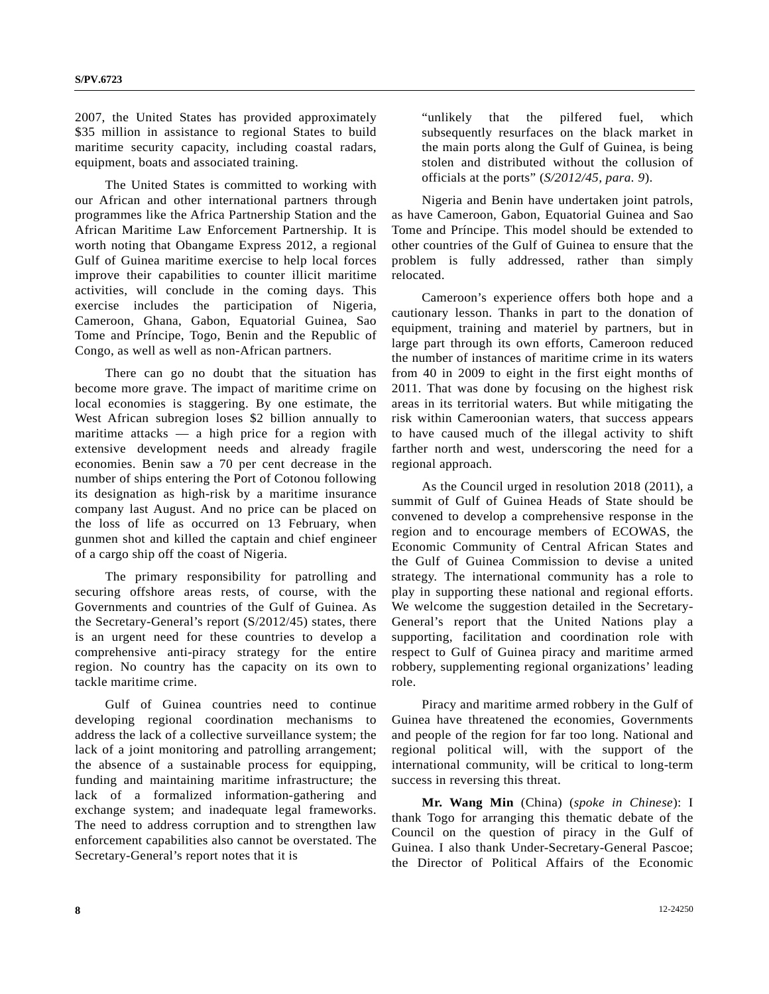2007, the United States has provided approximately \$35 million in assistance to regional States to build maritime security capacity, including coastal radars, equipment, boats and associated training.

 The United States is committed to working with our African and other international partners through programmes like the Africa Partnership Station and the African Maritime Law Enforcement Partnership. It is worth noting that Obangame Express 2012, a regional Gulf of Guinea maritime exercise to help local forces improve their capabilities to counter illicit maritime activities, will conclude in the coming days. This exercise includes the participation of Nigeria, Cameroon, Ghana, Gabon, Equatorial Guinea, Sao Tome and Príncipe, Togo, Benin and the Republic of Congo, as well as well as non-African partners.

 There can go no doubt that the situation has become more grave. The impact of maritime crime on local economies is staggering. By one estimate, the West African subregion loses \$2 billion annually to maritime attacks  $-$  a high price for a region with extensive development needs and already fragile economies. Benin saw a 70 per cent decrease in the number of ships entering the Port of Cotonou following its designation as high-risk by a maritime insurance company last August. And no price can be placed on the loss of life as occurred on 13 February, when gunmen shot and killed the captain and chief engineer of a cargo ship off the coast of Nigeria.

 The primary responsibility for patrolling and securing offshore areas rests, of course, with the Governments and countries of the Gulf of Guinea. As the Secretary-General's report (S/2012/45) states, there is an urgent need for these countries to develop a comprehensive anti-piracy strategy for the entire region. No country has the capacity on its own to tackle maritime crime.

 Gulf of Guinea countries need to continue developing regional coordination mechanisms to address the lack of a collective surveillance system; the lack of a joint monitoring and patrolling arrangement; the absence of a sustainable process for equipping, funding and maintaining maritime infrastructure; the lack of a formalized information-gathering and exchange system; and inadequate legal frameworks. The need to address corruption and to strengthen law enforcement capabilities also cannot be overstated. The Secretary-General's report notes that it is

 "unlikely that the pilfered fuel, which subsequently resurfaces on the black market in the main ports along the Gulf of Guinea, is being stolen and distributed without the collusion of officials at the ports" (*S/2012/45, para. 9*).

 Nigeria and Benin have undertaken joint patrols, as have Cameroon, Gabon, Equatorial Guinea and Sao Tome and Príncipe. This model should be extended to other countries of the Gulf of Guinea to ensure that the problem is fully addressed, rather than simply relocated.

 Cameroon's experience offers both hope and a cautionary lesson. Thanks in part to the donation of equipment, training and materiel by partners, but in large part through its own efforts, Cameroon reduced the number of instances of maritime crime in its waters from 40 in 2009 to eight in the first eight months of 2011. That was done by focusing on the highest risk areas in its territorial waters. But while mitigating the risk within Cameroonian waters, that success appears to have caused much of the illegal activity to shift farther north and west, underscoring the need for a regional approach.

 As the Council urged in resolution 2018 (2011), a summit of Gulf of Guinea Heads of State should be convened to develop a comprehensive response in the region and to encourage members of ECOWAS, the Economic Community of Central African States and the Gulf of Guinea Commission to devise a united strategy. The international community has a role to play in supporting these national and regional efforts. We welcome the suggestion detailed in the Secretary-General's report that the United Nations play a supporting, facilitation and coordination role with respect to Gulf of Guinea piracy and maritime armed robbery, supplementing regional organizations' leading role.

 Piracy and maritime armed robbery in the Gulf of Guinea have threatened the economies, Governments and people of the region for far too long. National and regional political will, with the support of the international community, will be critical to long-term success in reversing this threat.

 **Mr. Wang Min** (China) (*spoke in Chinese*): I thank Togo for arranging this thematic debate of the Council on the question of piracy in the Gulf of Guinea. I also thank Under-Secretary-General Pascoe; the Director of Political Affairs of the Economic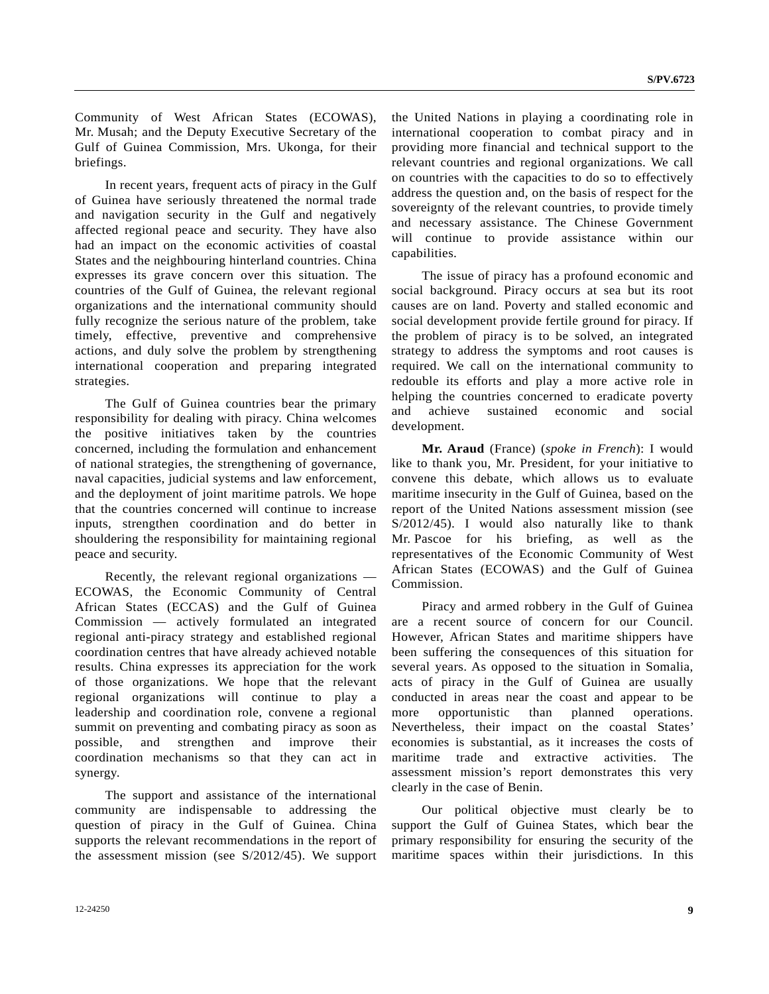Community of West African States (ECOWAS), Mr. Musah; and the Deputy Executive Secretary of the Gulf of Guinea Commission, Mrs. Ukonga, for their briefings.

 In recent years, frequent acts of piracy in the Gulf of Guinea have seriously threatened the normal trade and navigation security in the Gulf and negatively affected regional peace and security. They have also had an impact on the economic activities of coastal States and the neighbouring hinterland countries. China expresses its grave concern over this situation. The countries of the Gulf of Guinea, the relevant regional organizations and the international community should fully recognize the serious nature of the problem, take timely, effective, preventive and comprehensive actions, and duly solve the problem by strengthening international cooperation and preparing integrated strategies.

 The Gulf of Guinea countries bear the primary responsibility for dealing with piracy. China welcomes the positive initiatives taken by the countries concerned, including the formulation and enhancement of national strategies, the strengthening of governance, naval capacities, judicial systems and law enforcement, and the deployment of joint maritime patrols. We hope that the countries concerned will continue to increase inputs, strengthen coordination and do better in shouldering the responsibility for maintaining regional peace and security.

 Recently, the relevant regional organizations — ECOWAS, the Economic Community of Central African States (ECCAS) and the Gulf of Guinea Commission — actively formulated an integrated regional anti-piracy strategy and established regional coordination centres that have already achieved notable results. China expresses its appreciation for the work of those organizations. We hope that the relevant regional organizations will continue to play a leadership and coordination role, convene a regional summit on preventing and combating piracy as soon as possible, and strengthen and improve their coordination mechanisms so that they can act in synergy.

 The support and assistance of the international community are indispensable to addressing the question of piracy in the Gulf of Guinea. China supports the relevant recommendations in the report of the assessment mission (see S/2012/45). We support

the United Nations in playing a coordinating role in international cooperation to combat piracy and in providing more financial and technical support to the relevant countries and regional organizations. We call on countries with the capacities to do so to effectively address the question and, on the basis of respect for the sovereignty of the relevant countries, to provide timely and necessary assistance. The Chinese Government will continue to provide assistance within our capabilities.

 The issue of piracy has a profound economic and social background. Piracy occurs at sea but its root causes are on land. Poverty and stalled economic and social development provide fertile ground for piracy. If the problem of piracy is to be solved, an integrated strategy to address the symptoms and root causes is required. We call on the international community to redouble its efforts and play a more active role in helping the countries concerned to eradicate poverty and achieve sustained economic and social development.

 **Mr. Araud** (France) (*spoke in French*): I would like to thank you, Mr. President, for your initiative to convene this debate, which allows us to evaluate maritime insecurity in the Gulf of Guinea, based on the report of the United Nations assessment mission (see S/2012/45). I would also naturally like to thank Mr. Pascoe for his briefing, as well as the representatives of the Economic Community of West African States (ECOWAS) and the Gulf of Guinea Commission.

 Piracy and armed robbery in the Gulf of Guinea are a recent source of concern for our Council. However, African States and maritime shippers have been suffering the consequences of this situation for several years. As opposed to the situation in Somalia, acts of piracy in the Gulf of Guinea are usually conducted in areas near the coast and appear to be more opportunistic than planned operations. Nevertheless, their impact on the coastal States' economies is substantial, as it increases the costs of maritime trade and extractive activities. The assessment mission's report demonstrates this very clearly in the case of Benin.

 Our political objective must clearly be to support the Gulf of Guinea States, which bear the primary responsibility for ensuring the security of the maritime spaces within their jurisdictions. In this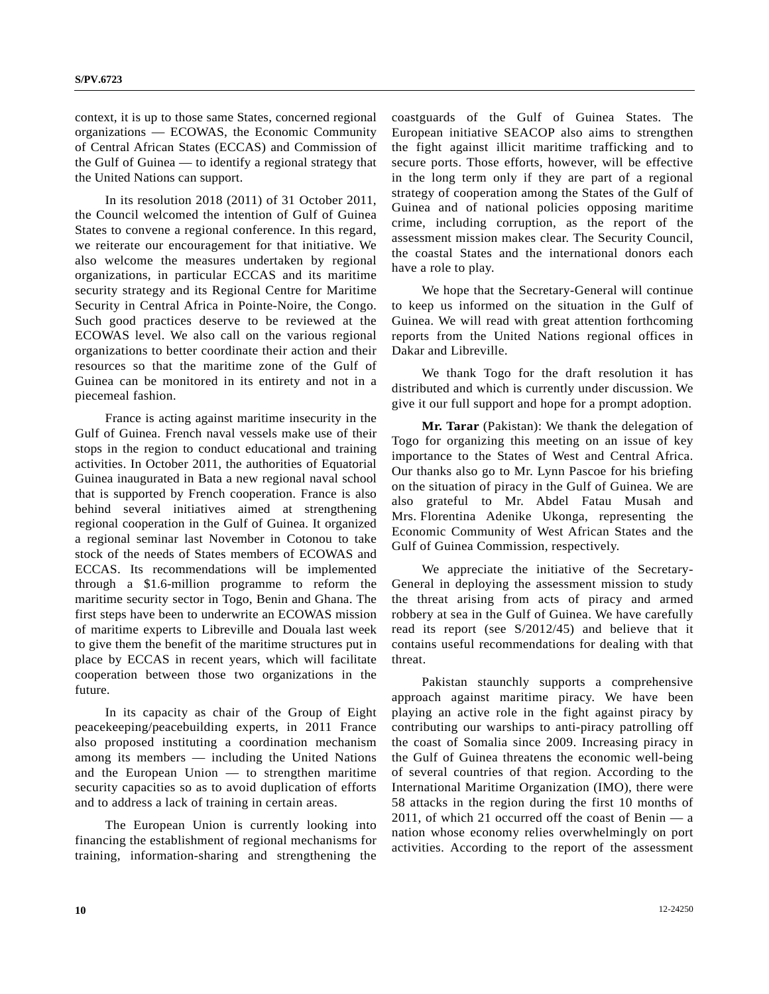context, it is up to those same States, concerned regional organizations — ECOWAS, the Economic Community of Central African States (ECCAS) and Commission of the Gulf of Guinea — to identify a regional strategy that the United Nations can support.

 In its resolution 2018 (2011) of 31 October 2011, the Council welcomed the intention of Gulf of Guinea States to convene a regional conference. In this regard, we reiterate our encouragement for that initiative. We also welcome the measures undertaken by regional organizations, in particular ECCAS and its maritime security strategy and its Regional Centre for Maritime Security in Central Africa in Pointe-Noire, the Congo. Such good practices deserve to be reviewed at the ECOWAS level. We also call on the various regional organizations to better coordinate their action and their resources so that the maritime zone of the Gulf of Guinea can be monitored in its entirety and not in a piecemeal fashion.

 France is acting against maritime insecurity in the Gulf of Guinea. French naval vessels make use of their stops in the region to conduct educational and training activities. In October 2011, the authorities of Equatorial Guinea inaugurated in Bata a new regional naval school that is supported by French cooperation. France is also behind several initiatives aimed at strengthening regional cooperation in the Gulf of Guinea. It organized a regional seminar last November in Cotonou to take stock of the needs of States members of ECOWAS and ECCAS. Its recommendations will be implemented through a \$1.6-million programme to reform the maritime security sector in Togo, Benin and Ghana. The first steps have been to underwrite an ECOWAS mission of maritime experts to Libreville and Douala last week to give them the benefit of the maritime structures put in place by ECCAS in recent years, which will facilitate cooperation between those two organizations in the future.

 In its capacity as chair of the Group of Eight peacekeeping/peacebuilding experts, in 2011 France also proposed instituting a coordination mechanism among its members — including the United Nations and the European Union — to strengthen maritime security capacities so as to avoid duplication of efforts and to address a lack of training in certain areas.

 The European Union is currently looking into financing the establishment of regional mechanisms for training, information-sharing and strengthening the coastguards of the Gulf of Guinea States. The European initiative SEACOP also aims to strengthen the fight against illicit maritime trafficking and to secure ports. Those efforts, however, will be effective in the long term only if they are part of a regional strategy of cooperation among the States of the Gulf of Guinea and of national policies opposing maritime crime, including corruption, as the report of the assessment mission makes clear. The Security Council, the coastal States and the international donors each have a role to play.

 We hope that the Secretary-General will continue to keep us informed on the situation in the Gulf of Guinea. We will read with great attention forthcoming reports from the United Nations regional offices in Dakar and Libreville.

 We thank Togo for the draft resolution it has distributed and which is currently under discussion. We give it our full support and hope for a prompt adoption.

**Mr. Tarar** (Pakistan): We thank the delegation of Togo for organizing this meeting on an issue of key importance to the States of West and Central Africa. Our thanks also go to Mr. Lynn Pascoe for his briefing on the situation of piracy in the Gulf of Guinea. We are also grateful to Mr. Abdel Fatau Musah and Mrs. Florentina Adenike Ukonga, representing the Economic Community of West African States and the Gulf of Guinea Commission, respectively.

 We appreciate the initiative of the Secretary-General in deploying the assessment mission to study the threat arising from acts of piracy and armed robbery at sea in the Gulf of Guinea. We have carefully read its report (see S/2012/45) and believe that it contains useful recommendations for dealing with that threat.

 Pakistan staunchly supports a comprehensive approach against maritime piracy. We have been playing an active role in the fight against piracy by contributing our warships to anti-piracy patrolling off the coast of Somalia since 2009. Increasing piracy in the Gulf of Guinea threatens the economic well-being of several countries of that region. According to the International Maritime Organization (IMO), there were 58 attacks in the region during the first 10 months of 2011, of which 21 occurred off the coast of Benin — a nation whose economy relies overwhelmingly on port activities. According to the report of the assessment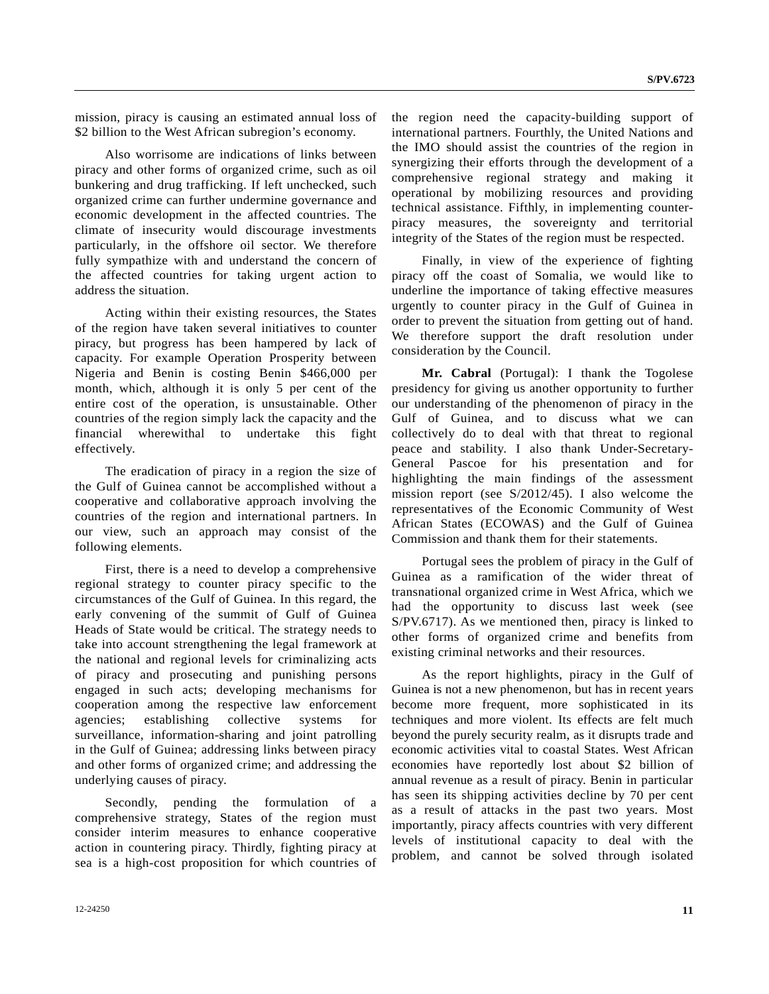mission, piracy is causing an estimated annual loss of \$2 billion to the West African subregion's economy.

 Also worrisome are indications of links between piracy and other forms of organized crime, such as oil bunkering and drug trafficking. If left unchecked, such organized crime can further undermine governance and economic development in the affected countries. The climate of insecurity would discourage investments particularly, in the offshore oil sector. We therefore fully sympathize with and understand the concern of the affected countries for taking urgent action to address the situation.

 Acting within their existing resources, the States of the region have taken several initiatives to counter piracy, but progress has been hampered by lack of capacity. For example Operation Prosperity between Nigeria and Benin is costing Benin \$466,000 per month, which, although it is only 5 per cent of the entire cost of the operation, is unsustainable. Other countries of the region simply lack the capacity and the financial wherewithal to undertake this fight effectively.

 The eradication of piracy in a region the size of the Gulf of Guinea cannot be accomplished without a cooperative and collaborative approach involving the countries of the region and international partners. In our view, such an approach may consist of the following elements.

 First, there is a need to develop a comprehensive regional strategy to counter piracy specific to the circumstances of the Gulf of Guinea. In this regard, the early convening of the summit of Gulf of Guinea Heads of State would be critical. The strategy needs to take into account strengthening the legal framework at the national and regional levels for criminalizing acts of piracy and prosecuting and punishing persons engaged in such acts; developing mechanisms for cooperation among the respective law enforcement agencies; establishing collective systems for surveillance, information-sharing and joint patrolling in the Gulf of Guinea; addressing links between piracy and other forms of organized crime; and addressing the underlying causes of piracy.

 Secondly, pending the formulation of a comprehensive strategy, States of the region must consider interim measures to enhance cooperative action in countering piracy. Thirdly, fighting piracy at sea is a high-cost proposition for which countries of the region need the capacity-building support of international partners. Fourthly, the United Nations and the IMO should assist the countries of the region in synergizing their efforts through the development of a comprehensive regional strategy and making it operational by mobilizing resources and providing technical assistance. Fifthly, in implementing counterpiracy measures, the sovereignty and territorial integrity of the States of the region must be respected.

 Finally, in view of the experience of fighting piracy off the coast of Somalia, we would like to underline the importance of taking effective measures urgently to counter piracy in the Gulf of Guinea in order to prevent the situation from getting out of hand. We therefore support the draft resolution under consideration by the Council.

 **Mr. Cabral** (Portugal): I thank the Togolese presidency for giving us another opportunity to further our understanding of the phenomenon of piracy in the Gulf of Guinea, and to discuss what we can collectively do to deal with that threat to regional peace and stability. I also thank Under-Secretary-General Pascoe for his presentation and for highlighting the main findings of the assessment mission report (see S/2012/45). I also welcome the representatives of the Economic Community of West African States (ECOWAS) and the Gulf of Guinea Commission and thank them for their statements.

 Portugal sees the problem of piracy in the Gulf of Guinea as a ramification of the wider threat of transnational organized crime in West Africa, which we had the opportunity to discuss last week (see S/PV.6717). As we mentioned then, piracy is linked to other forms of organized crime and benefits from existing criminal networks and their resources.

 As the report highlights, piracy in the Gulf of Guinea is not a new phenomenon, but has in recent years become more frequent, more sophisticated in its techniques and more violent. Its effects are felt much beyond the purely security realm, as it disrupts trade and economic activities vital to coastal States. West African economies have reportedly lost about \$2 billion of annual revenue as a result of piracy. Benin in particular has seen its shipping activities decline by 70 per cent as a result of attacks in the past two years. Most importantly, piracy affects countries with very different levels of institutional capacity to deal with the problem, and cannot be solved through isolated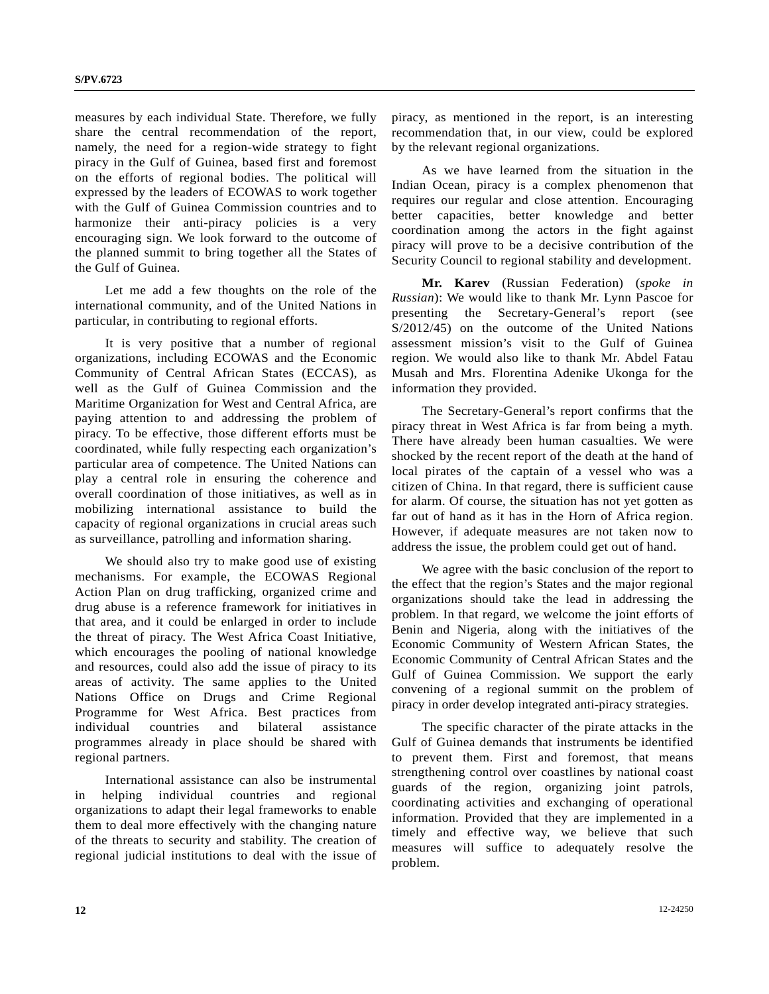measures by each individual State. Therefore, we fully share the central recommendation of the report, namely, the need for a region-wide strategy to fight piracy in the Gulf of Guinea, based first and foremost on the efforts of regional bodies. The political will expressed by the leaders of ECOWAS to work together with the Gulf of Guinea Commission countries and to harmonize their anti-piracy policies is a very encouraging sign. We look forward to the outcome of the planned summit to bring together all the States of the Gulf of Guinea.

 Let me add a few thoughts on the role of the international community, and of the United Nations in particular, in contributing to regional efforts.

 It is very positive that a number of regional organizations, including ECOWAS and the Economic Community of Central African States (ECCAS), as well as the Gulf of Guinea Commission and the Maritime Organization for West and Central Africa, are paying attention to and addressing the problem of piracy. To be effective, those different efforts must be coordinated, while fully respecting each organization's particular area of competence. The United Nations can play a central role in ensuring the coherence and overall coordination of those initiatives, as well as in mobilizing international assistance to build the capacity of regional organizations in crucial areas such as surveillance, patrolling and information sharing.

 We should also try to make good use of existing mechanisms. For example, the ECOWAS Regional Action Plan on drug trafficking, organized crime and drug abuse is a reference framework for initiatives in that area, and it could be enlarged in order to include the threat of piracy. The West Africa Coast Initiative, which encourages the pooling of national knowledge and resources, could also add the issue of piracy to its areas of activity. The same applies to the United Nations Office on Drugs and Crime Regional Programme for West Africa. Best practices from individual countries and bilateral assistance programmes already in place should be shared with regional partners.

 International assistance can also be instrumental in helping individual countries and regional organizations to adapt their legal frameworks to enable them to deal more effectively with the changing nature of the threats to security and stability. The creation of regional judicial institutions to deal with the issue of piracy, as mentioned in the report, is an interesting recommendation that, in our view, could be explored by the relevant regional organizations.

 As we have learned from the situation in the Indian Ocean, piracy is a complex phenomenon that requires our regular and close attention. Encouraging better capacities, better knowledge and better coordination among the actors in the fight against piracy will prove to be a decisive contribution of the Security Council to regional stability and development.

**Mr. Karev** (Russian Federation) (*spoke in Russian*): We would like to thank Mr. Lynn Pascoe for presenting the Secretary-General's report (see S/2012/45) on the outcome of the United Nations assessment mission's visit to the Gulf of Guinea region. We would also like to thank Mr. Abdel Fatau Musah and Mrs. Florentina Adenike Ukonga for the information they provided.

 The Secretary-General's report confirms that the piracy threat in West Africa is far from being a myth. There have already been human casualties. We were shocked by the recent report of the death at the hand of local pirates of the captain of a vessel who was a citizen of China. In that regard, there is sufficient cause for alarm. Of course, the situation has not yet gotten as far out of hand as it has in the Horn of Africa region. However, if adequate measures are not taken now to address the issue, the problem could get out of hand.

 We agree with the basic conclusion of the report to the effect that the region's States and the major regional organizations should take the lead in addressing the problem. In that regard, we welcome the joint efforts of Benin and Nigeria, along with the initiatives of the Economic Community of Western African States, the Economic Community of Central African States and the Gulf of Guinea Commission. We support the early convening of a regional summit on the problem of piracy in order develop integrated anti-piracy strategies.

 The specific character of the pirate attacks in the Gulf of Guinea demands that instruments be identified to prevent them. First and foremost, that means strengthening control over coastlines by national coast guards of the region, organizing joint patrols, coordinating activities and exchanging of operational information. Provided that they are implemented in a timely and effective way, we believe that such measures will suffice to adequately resolve the problem.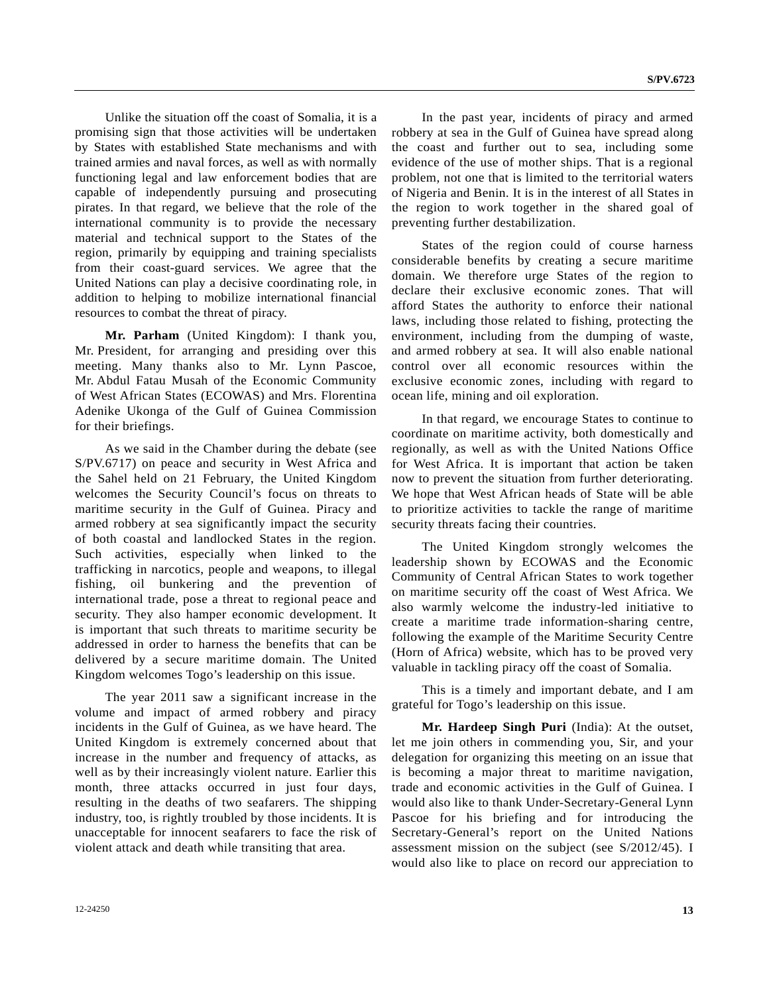Unlike the situation off the coast of Somalia, it is a promising sign that those activities will be undertaken by States with established State mechanisms and with trained armies and naval forces, as well as with normally functioning legal and law enforcement bodies that are capable of independently pursuing and prosecuting pirates. In that regard, we believe that the role of the international community is to provide the necessary material and technical support to the States of the region, primarily by equipping and training specialists from their coast-guard services. We agree that the United Nations can play a decisive coordinating role, in addition to helping to mobilize international financial resources to combat the threat of piracy.

 **Mr. Parham** (United Kingdom): I thank you, Mr. President, for arranging and presiding over this meeting. Many thanks also to Mr. Lynn Pascoe, Mr. Abdul Fatau Musah of the Economic Community of West African States (ECOWAS) and Mrs. Florentina Adenike Ukonga of the Gulf of Guinea Commission for their briefings.

 As we said in the Chamber during the debate (see S/PV.6717) on peace and security in West Africa and the Sahel held on 21 February, the United Kingdom welcomes the Security Council's focus on threats to maritime security in the Gulf of Guinea. Piracy and armed robbery at sea significantly impact the security of both coastal and landlocked States in the region. Such activities, especially when linked to the trafficking in narcotics, people and weapons, to illegal fishing, oil bunkering and the prevention of international trade, pose a threat to regional peace and security. They also hamper economic development. It is important that such threats to maritime security be addressed in order to harness the benefits that can be delivered by a secure maritime domain. The United Kingdom welcomes Togo's leadership on this issue.

 The year 2011 saw a significant increase in the volume and impact of armed robbery and piracy incidents in the Gulf of Guinea, as we have heard. The United Kingdom is extremely concerned about that increase in the number and frequency of attacks, as well as by their increasingly violent nature. Earlier this month, three attacks occurred in just four days, resulting in the deaths of two seafarers. The shipping industry, too, is rightly troubled by those incidents. It is unacceptable for innocent seafarers to face the risk of violent attack and death while transiting that area.

 In the past year, incidents of piracy and armed robbery at sea in the Gulf of Guinea have spread along the coast and further out to sea, including some evidence of the use of mother ships. That is a regional problem, not one that is limited to the territorial waters of Nigeria and Benin. It is in the interest of all States in the region to work together in the shared goal of preventing further destabilization.

 States of the region could of course harness considerable benefits by creating a secure maritime domain. We therefore urge States of the region to declare their exclusive economic zones. That will afford States the authority to enforce their national laws, including those related to fishing, protecting the environment, including from the dumping of waste, and armed robbery at sea. It will also enable national control over all economic resources within the exclusive economic zones, including with regard to ocean life, mining and oil exploration.

 In that regard, we encourage States to continue to coordinate on maritime activity, both domestically and regionally, as well as with the United Nations Office for West Africa. It is important that action be taken now to prevent the situation from further deteriorating. We hope that West African heads of State will be able to prioritize activities to tackle the range of maritime security threats facing their countries.

 The United Kingdom strongly welcomes the leadership shown by ECOWAS and the Economic Community of Central African States to work together on maritime security off the coast of West Africa. We also warmly welcome the industry-led initiative to create a maritime trade information-sharing centre, following the example of the Maritime Security Centre (Horn of Africa) website, which has to be proved very valuable in tackling piracy off the coast of Somalia.

 This is a timely and important debate, and I am grateful for Togo's leadership on this issue.

**Mr. Hardeep Singh Puri** (India): At the outset, let me join others in commending you, Sir, and your delegation for organizing this meeting on an issue that is becoming a major threat to maritime navigation, trade and economic activities in the Gulf of Guinea. I would also like to thank Under-Secretary-General Lynn Pascoe for his briefing and for introducing the Secretary-General's report on the United Nations assessment mission on the subject (see S/2012/45). I would also like to place on record our appreciation to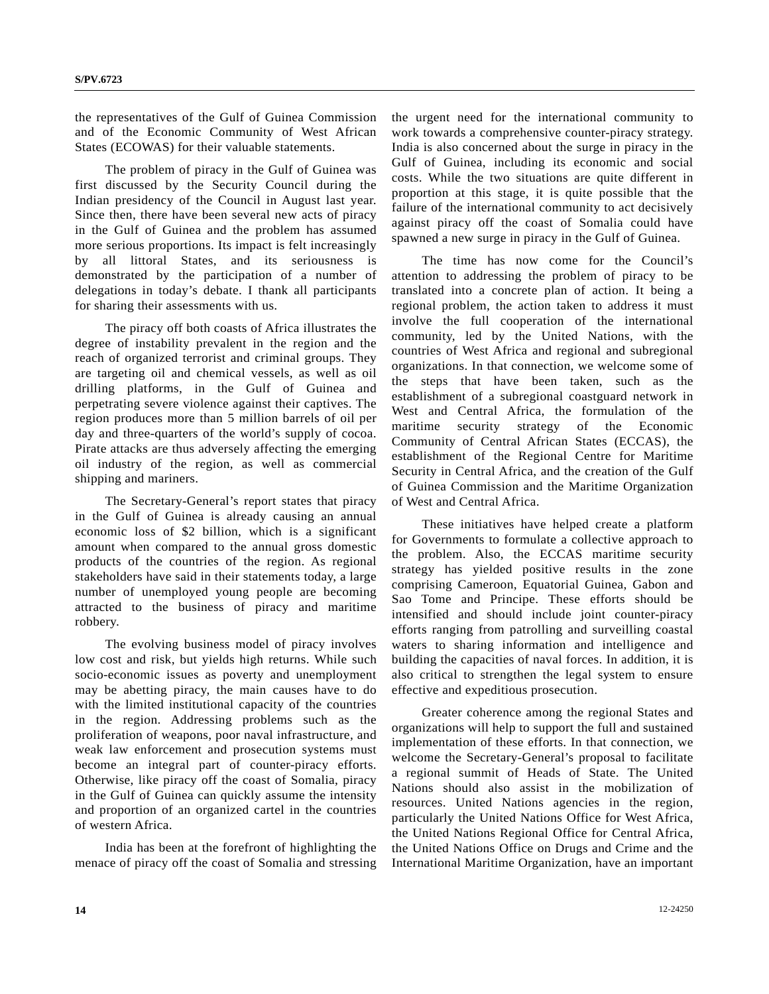the representatives of the Gulf of Guinea Commission and of the Economic Community of West African States (ECOWAS) for their valuable statements.

 The problem of piracy in the Gulf of Guinea was first discussed by the Security Council during the Indian presidency of the Council in August last year. Since then, there have been several new acts of piracy in the Gulf of Guinea and the problem has assumed more serious proportions. Its impact is felt increasingly by all littoral States, and its seriousness is demonstrated by the participation of a number of delegations in today's debate. I thank all participants for sharing their assessments with us.

 The piracy off both coasts of Africa illustrates the degree of instability prevalent in the region and the reach of organized terrorist and criminal groups. They are targeting oil and chemical vessels, as well as oil drilling platforms, in the Gulf of Guinea and perpetrating severe violence against their captives. The region produces more than 5 million barrels of oil per day and three-quarters of the world's supply of cocoa. Pirate attacks are thus adversely affecting the emerging oil industry of the region, as well as commercial shipping and mariners.

 The Secretary-General's report states that piracy in the Gulf of Guinea is already causing an annual economic loss of \$2 billion, which is a significant amount when compared to the annual gross domestic products of the countries of the region. As regional stakeholders have said in their statements today, a large number of unemployed young people are becoming attracted to the business of piracy and maritime robbery.

 The evolving business model of piracy involves low cost and risk, but yields high returns. While such socio-economic issues as poverty and unemployment may be abetting piracy, the main causes have to do with the limited institutional capacity of the countries in the region. Addressing problems such as the proliferation of weapons, poor naval infrastructure, and weak law enforcement and prosecution systems must become an integral part of counter-piracy efforts. Otherwise, like piracy off the coast of Somalia, piracy in the Gulf of Guinea can quickly assume the intensity and proportion of an organized cartel in the countries of western Africa.

 India has been at the forefront of highlighting the menace of piracy off the coast of Somalia and stressing the urgent need for the international community to work towards a comprehensive counter-piracy strategy. India is also concerned about the surge in piracy in the Gulf of Guinea, including its economic and social costs. While the two situations are quite different in proportion at this stage, it is quite possible that the failure of the international community to act decisively against piracy off the coast of Somalia could have spawned a new surge in piracy in the Gulf of Guinea.

 The time has now come for the Council's attention to addressing the problem of piracy to be translated into a concrete plan of action. It being a regional problem, the action taken to address it must involve the full cooperation of the international community, led by the United Nations, with the countries of West Africa and regional and subregional organizations. In that connection, we welcome some of the steps that have been taken, such as the establishment of a subregional coastguard network in West and Central Africa, the formulation of the maritime security strategy of the Economic Community of Central African States (ECCAS), the establishment of the Regional Centre for Maritime Security in Central Africa, and the creation of the Gulf of Guinea Commission and the Maritime Organization of West and Central Africa.

 These initiatives have helped create a platform for Governments to formulate a collective approach to the problem. Also, the ECCAS maritime security strategy has yielded positive results in the zone comprising Cameroon, Equatorial Guinea, Gabon and Sao Tome and Principe. These efforts should be intensified and should include joint counter-piracy efforts ranging from patrolling and surveilling coastal waters to sharing information and intelligence and building the capacities of naval forces. In addition, it is also critical to strengthen the legal system to ensure effective and expeditious prosecution.

 Greater coherence among the regional States and organizations will help to support the full and sustained implementation of these efforts. In that connection, we welcome the Secretary-General's proposal to facilitate a regional summit of Heads of State. The United Nations should also assist in the mobilization of resources. United Nations agencies in the region, particularly the United Nations Office for West Africa, the United Nations Regional Office for Central Africa, the United Nations Office on Drugs and Crime and the International Maritime Organization, have an important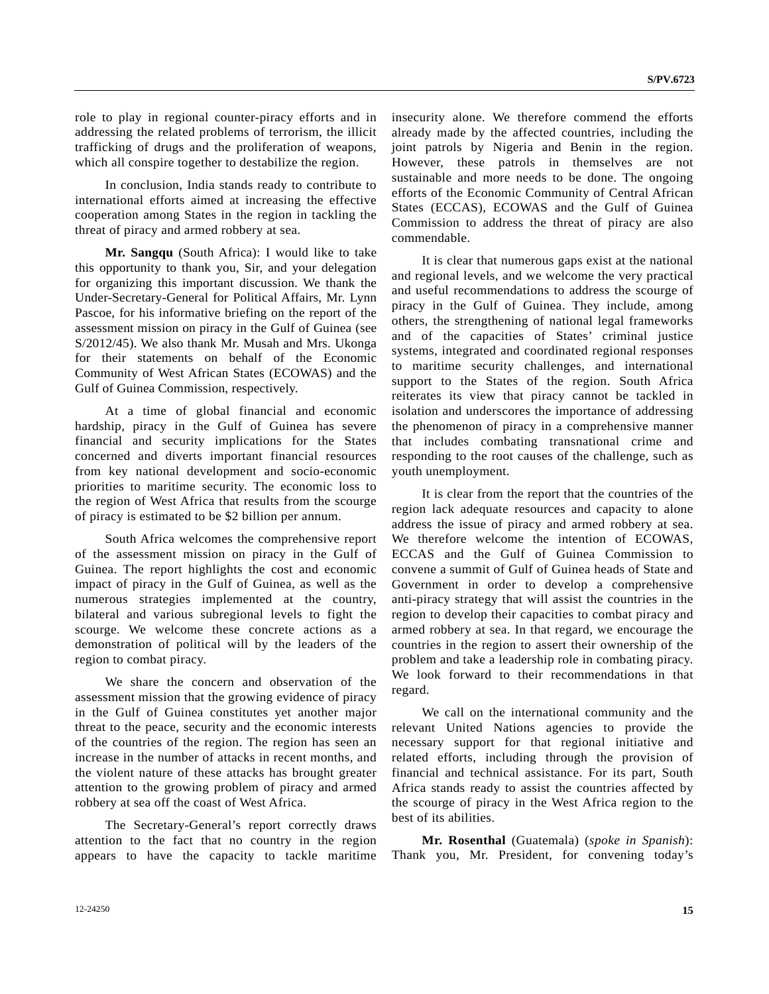role to play in regional counter-piracy efforts and in addressing the related problems of terrorism, the illicit trafficking of drugs and the proliferation of weapons, which all conspire together to destabilize the region.

 In conclusion, India stands ready to contribute to international efforts aimed at increasing the effective cooperation among States in the region in tackling the threat of piracy and armed robbery at sea.

**Mr. Sangqu** (South Africa): I would like to take this opportunity to thank you, Sir, and your delegation for organizing this important discussion. We thank the Under-Secretary-General for Political Affairs, Mr. Lynn Pascoe, for his informative briefing on the report of the assessment mission on piracy in the Gulf of Guinea (see S/2012/45). We also thank Mr. Musah and Mrs. Ukonga for their statements on behalf of the Economic Community of West African States (ECOWAS) and the Gulf of Guinea Commission, respectively.

 At a time of global financial and economic hardship, piracy in the Gulf of Guinea has severe financial and security implications for the States concerned and diverts important financial resources from key national development and socio-economic priorities to maritime security. The economic loss to the region of West Africa that results from the scourge of piracy is estimated to be \$2 billion per annum.

 South Africa welcomes the comprehensive report of the assessment mission on piracy in the Gulf of Guinea. The report highlights the cost and economic impact of piracy in the Gulf of Guinea, as well as the numerous strategies implemented at the country, bilateral and various subregional levels to fight the scourge. We welcome these concrete actions as a demonstration of political will by the leaders of the region to combat piracy.

 We share the concern and observation of the assessment mission that the growing evidence of piracy in the Gulf of Guinea constitutes yet another major threat to the peace, security and the economic interests of the countries of the region. The region has seen an increase in the number of attacks in recent months, and the violent nature of these attacks has brought greater attention to the growing problem of piracy and armed robbery at sea off the coast of West Africa.

 The Secretary-General's report correctly draws attention to the fact that no country in the region appears to have the capacity to tackle maritime insecurity alone. We therefore commend the efforts already made by the affected countries, including the joint patrols by Nigeria and Benin in the region. However, these patrols in themselves are not sustainable and more needs to be done. The ongoing efforts of the Economic Community of Central African States (ECCAS), ECOWAS and the Gulf of Guinea Commission to address the threat of piracy are also commendable.

 It is clear that numerous gaps exist at the national and regional levels, and we welcome the very practical and useful recommendations to address the scourge of piracy in the Gulf of Guinea. They include, among others, the strengthening of national legal frameworks and of the capacities of States' criminal justice systems, integrated and coordinated regional responses to maritime security challenges, and international support to the States of the region. South Africa reiterates its view that piracy cannot be tackled in isolation and underscores the importance of addressing the phenomenon of piracy in a comprehensive manner that includes combating transnational crime and responding to the root causes of the challenge, such as youth unemployment.

 It is clear from the report that the countries of the region lack adequate resources and capacity to alone address the issue of piracy and armed robbery at sea. We therefore welcome the intention of ECOWAS, ECCAS and the Gulf of Guinea Commission to convene a summit of Gulf of Guinea heads of State and Government in order to develop a comprehensive anti-piracy strategy that will assist the countries in the region to develop their capacities to combat piracy and armed robbery at sea. In that regard, we encourage the countries in the region to assert their ownership of the problem and take a leadership role in combating piracy. We look forward to their recommendations in that regard.

 We call on the international community and the relevant United Nations agencies to provide the necessary support for that regional initiative and related efforts, including through the provision of financial and technical assistance. For its part, South Africa stands ready to assist the countries affected by the scourge of piracy in the West Africa region to the best of its abilities.

 **Mr. Rosenthal** (Guatemala) (*spoke in Spanish*): Thank you, Mr. President, for convening today's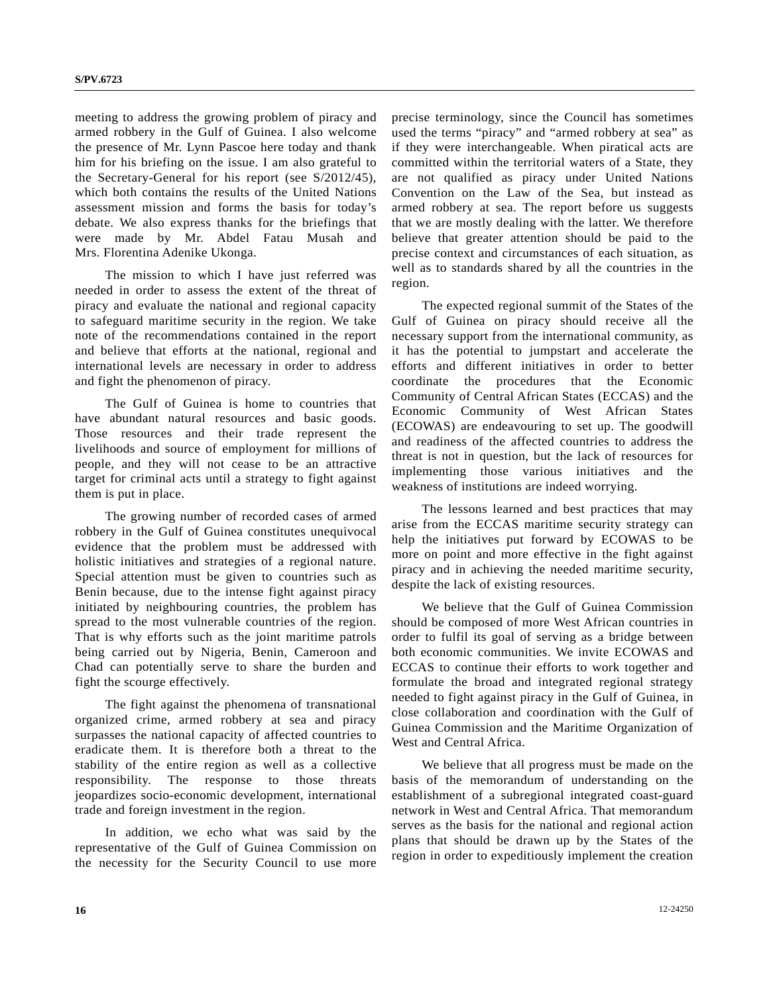meeting to address the growing problem of piracy and armed robbery in the Gulf of Guinea. I also welcome the presence of Mr. Lynn Pascoe here today and thank him for his briefing on the issue. I am also grateful to the Secretary-General for his report (see S/2012/45), which both contains the results of the United Nations assessment mission and forms the basis for today's debate. We also express thanks for the briefings that were made by Mr. Abdel Fatau Musah and Mrs. Florentina Adenike Ukonga.

 The mission to which I have just referred was needed in order to assess the extent of the threat of piracy and evaluate the national and regional capacity to safeguard maritime security in the region. We take note of the recommendations contained in the report and believe that efforts at the national, regional and international levels are necessary in order to address and fight the phenomenon of piracy.

 The Gulf of Guinea is home to countries that have abundant natural resources and basic goods. Those resources and their trade represent the livelihoods and source of employment for millions of people, and they will not cease to be an attractive target for criminal acts until a strategy to fight against them is put in place.

 The growing number of recorded cases of armed robbery in the Gulf of Guinea constitutes unequivocal evidence that the problem must be addressed with holistic initiatives and strategies of a regional nature. Special attention must be given to countries such as Benin because, due to the intense fight against piracy initiated by neighbouring countries, the problem has spread to the most vulnerable countries of the region. That is why efforts such as the joint maritime patrols being carried out by Nigeria, Benin, Cameroon and Chad can potentially serve to share the burden and fight the scourge effectively.

 The fight against the phenomena of transnational organized crime, armed robbery at sea and piracy surpasses the national capacity of affected countries to eradicate them. It is therefore both a threat to the stability of the entire region as well as a collective responsibility. The response to those threats jeopardizes socio-economic development, international trade and foreign investment in the region.

 In addition, we echo what was said by the representative of the Gulf of Guinea Commission on the necessity for the Security Council to use more precise terminology, since the Council has sometimes used the terms "piracy" and "armed robbery at sea" as if they were interchangeable. When piratical acts are committed within the territorial waters of a State, they are not qualified as piracy under United Nations Convention on the Law of the Sea, but instead as armed robbery at sea. The report before us suggests that we are mostly dealing with the latter. We therefore believe that greater attention should be paid to the precise context and circumstances of each situation, as well as to standards shared by all the countries in the region.

 The expected regional summit of the States of the Gulf of Guinea on piracy should receive all the necessary support from the international community, as it has the potential to jumpstart and accelerate the efforts and different initiatives in order to better coordinate the procedures that the Economic Community of Central African States (ECCAS) and the Economic Community of West African States (ECOWAS) are endeavouring to set up. The goodwill and readiness of the affected countries to address the threat is not in question, but the lack of resources for implementing those various initiatives and the weakness of institutions are indeed worrying.

 The lessons learned and best practices that may arise from the ECCAS maritime security strategy can help the initiatives put forward by ECOWAS to be more on point and more effective in the fight against piracy and in achieving the needed maritime security, despite the lack of existing resources.

 We believe that the Gulf of Guinea Commission should be composed of more West African countries in order to fulfil its goal of serving as a bridge between both economic communities. We invite ECOWAS and ECCAS to continue their efforts to work together and formulate the broad and integrated regional strategy needed to fight against piracy in the Gulf of Guinea, in close collaboration and coordination with the Gulf of Guinea Commission and the Maritime Organization of West and Central Africa.

 We believe that all progress must be made on the basis of the memorandum of understanding on the establishment of a subregional integrated coast-guard network in West and Central Africa. That memorandum serves as the basis for the national and regional action plans that should be drawn up by the States of the region in order to expeditiously implement the creation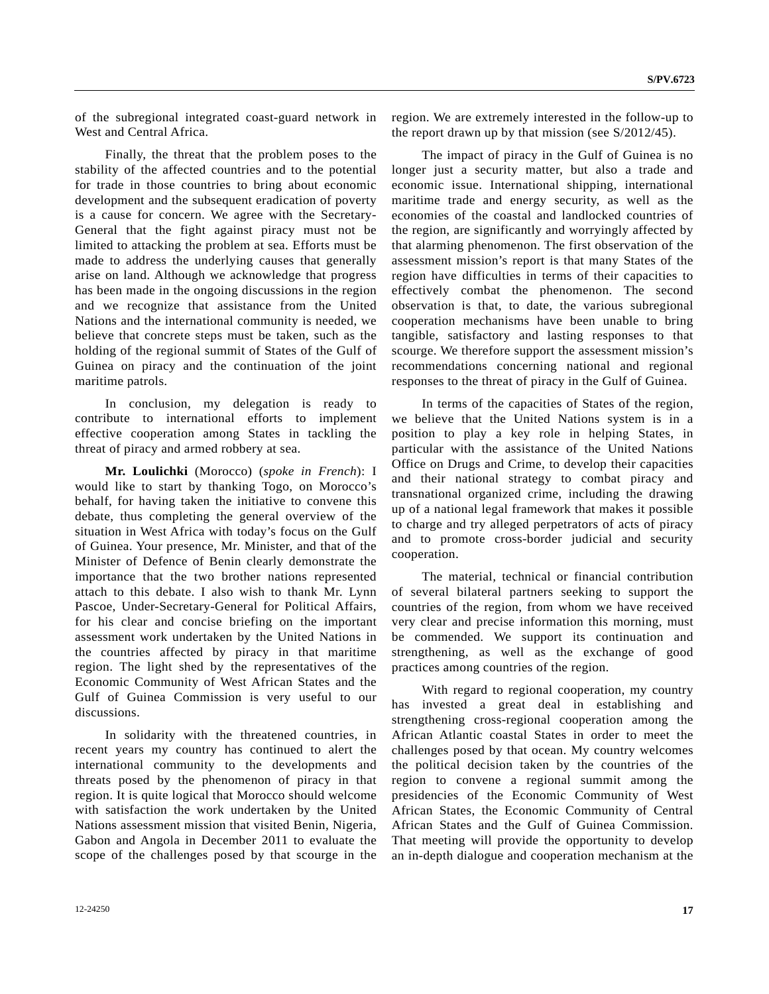of the subregional integrated coast-guard network in West and Central Africa.

 Finally, the threat that the problem poses to the stability of the affected countries and to the potential for trade in those countries to bring about economic development and the subsequent eradication of poverty is a cause for concern. We agree with the Secretary-General that the fight against piracy must not be limited to attacking the problem at sea. Efforts must be made to address the underlying causes that generally arise on land. Although we acknowledge that progress has been made in the ongoing discussions in the region and we recognize that assistance from the United Nations and the international community is needed, we believe that concrete steps must be taken, such as the holding of the regional summit of States of the Gulf of Guinea on piracy and the continuation of the joint maritime patrols.

 In conclusion, my delegation is ready to contribute to international efforts to implement effective cooperation among States in tackling the threat of piracy and armed robbery at sea.

 **Mr. Loulichki** (Morocco) (*spoke in French*): I would like to start by thanking Togo, on Morocco's behalf, for having taken the initiative to convene this debate, thus completing the general overview of the situation in West Africa with today's focus on the Gulf of Guinea. Your presence, Mr. Minister, and that of the Minister of Defence of Benin clearly demonstrate the importance that the two brother nations represented attach to this debate. I also wish to thank Mr. Lynn Pascoe, Under-Secretary-General for Political Affairs, for his clear and concise briefing on the important assessment work undertaken by the United Nations in the countries affected by piracy in that maritime region. The light shed by the representatives of the Economic Community of West African States and the Gulf of Guinea Commission is very useful to our discussions.

 In solidarity with the threatened countries, in recent years my country has continued to alert the international community to the developments and threats posed by the phenomenon of piracy in that region. It is quite logical that Morocco should welcome with satisfaction the work undertaken by the United Nations assessment mission that visited Benin, Nigeria, Gabon and Angola in December 2011 to evaluate the scope of the challenges posed by that scourge in the

region. We are extremely interested in the follow-up to the report drawn up by that mission (see S/2012/45).

 The impact of piracy in the Gulf of Guinea is no longer just a security matter, but also a trade and economic issue. International shipping, international maritime trade and energy security, as well as the economies of the coastal and landlocked countries of the region, are significantly and worryingly affected by that alarming phenomenon. The first observation of the assessment mission's report is that many States of the region have difficulties in terms of their capacities to effectively combat the phenomenon. The second observation is that, to date, the various subregional cooperation mechanisms have been unable to bring tangible, satisfactory and lasting responses to that scourge. We therefore support the assessment mission's recommendations concerning national and regional responses to the threat of piracy in the Gulf of Guinea.

 In terms of the capacities of States of the region, we believe that the United Nations system is in a position to play a key role in helping States, in particular with the assistance of the United Nations Office on Drugs and Crime, to develop their capacities and their national strategy to combat piracy and transnational organized crime, including the drawing up of a national legal framework that makes it possible to charge and try alleged perpetrators of acts of piracy and to promote cross-border judicial and security cooperation.

 The material, technical or financial contribution of several bilateral partners seeking to support the countries of the region, from whom we have received very clear and precise information this morning, must be commended. We support its continuation and strengthening, as well as the exchange of good practices among countries of the region.

 With regard to regional cooperation, my country has invested a great deal in establishing and strengthening cross-regional cooperation among the African Atlantic coastal States in order to meet the challenges posed by that ocean. My country welcomes the political decision taken by the countries of the region to convene a regional summit among the presidencies of the Economic Community of West African States, the Economic Community of Central African States and the Gulf of Guinea Commission. That meeting will provide the opportunity to develop an in-depth dialogue and cooperation mechanism at the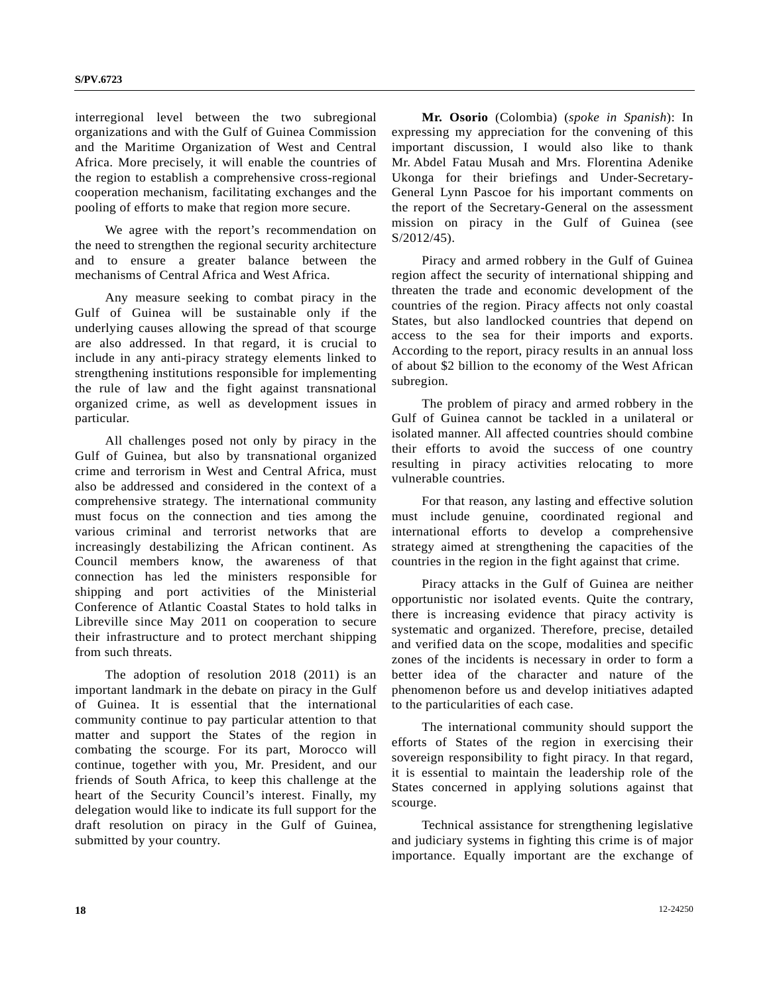interregional level between the two subregional organizations and with the Gulf of Guinea Commission and the Maritime Organization of West and Central Africa. More precisely, it will enable the countries of the region to establish a comprehensive cross-regional cooperation mechanism, facilitating exchanges and the pooling of efforts to make that region more secure.

 We agree with the report's recommendation on the need to strengthen the regional security architecture and to ensure a greater balance between the mechanisms of Central Africa and West Africa.

 Any measure seeking to combat piracy in the Gulf of Guinea will be sustainable only if the underlying causes allowing the spread of that scourge are also addressed. In that regard, it is crucial to include in any anti-piracy strategy elements linked to strengthening institutions responsible for implementing the rule of law and the fight against transnational organized crime, as well as development issues in particular.

 All challenges posed not only by piracy in the Gulf of Guinea, but also by transnational organized crime and terrorism in West and Central Africa, must also be addressed and considered in the context of a comprehensive strategy. The international community must focus on the connection and ties among the various criminal and terrorist networks that are increasingly destabilizing the African continent. As Council members know, the awareness of that connection has led the ministers responsible for shipping and port activities of the Ministerial Conference of Atlantic Coastal States to hold talks in Libreville since May 2011 on cooperation to secure their infrastructure and to protect merchant shipping from such threats.

 The adoption of resolution 2018 (2011) is an important landmark in the debate on piracy in the Gulf of Guinea. It is essential that the international community continue to pay particular attention to that matter and support the States of the region in combating the scourge. For its part, Morocco will continue, together with you, Mr. President, and our friends of South Africa, to keep this challenge at the heart of the Security Council's interest. Finally, my delegation would like to indicate its full support for the draft resolution on piracy in the Gulf of Guinea, submitted by your country.

 **Mr. Osorio** (Colombia) (*spoke in Spanish*): In expressing my appreciation for the convening of this important discussion, I would also like to thank Mr. Abdel Fatau Musah and Mrs. Florentina Adenike Ukonga for their briefings and Under-Secretary-General Lynn Pascoe for his important comments on the report of the Secretary-General on the assessment mission on piracy in the Gulf of Guinea (see S/2012/45).

 Piracy and armed robbery in the Gulf of Guinea region affect the security of international shipping and threaten the trade and economic development of the countries of the region. Piracy affects not only coastal States, but also landlocked countries that depend on access to the sea for their imports and exports. According to the report, piracy results in an annual loss of about \$2 billion to the economy of the West African subregion.

 The problem of piracy and armed robbery in the Gulf of Guinea cannot be tackled in a unilateral or isolated manner. All affected countries should combine their efforts to avoid the success of one country resulting in piracy activities relocating to more vulnerable countries.

 For that reason, any lasting and effective solution must include genuine, coordinated regional and international efforts to develop a comprehensive strategy aimed at strengthening the capacities of the countries in the region in the fight against that crime.

 Piracy attacks in the Gulf of Guinea are neither opportunistic nor isolated events. Quite the contrary, there is increasing evidence that piracy activity is systematic and organized. Therefore, precise, detailed and verified data on the scope, modalities and specific zones of the incidents is necessary in order to form a better idea of the character and nature of the phenomenon before us and develop initiatives adapted to the particularities of each case.

 The international community should support the efforts of States of the region in exercising their sovereign responsibility to fight piracy. In that regard, it is essential to maintain the leadership role of the States concerned in applying solutions against that scourge.

 Technical assistance for strengthening legislative and judiciary systems in fighting this crime is of major importance. Equally important are the exchange of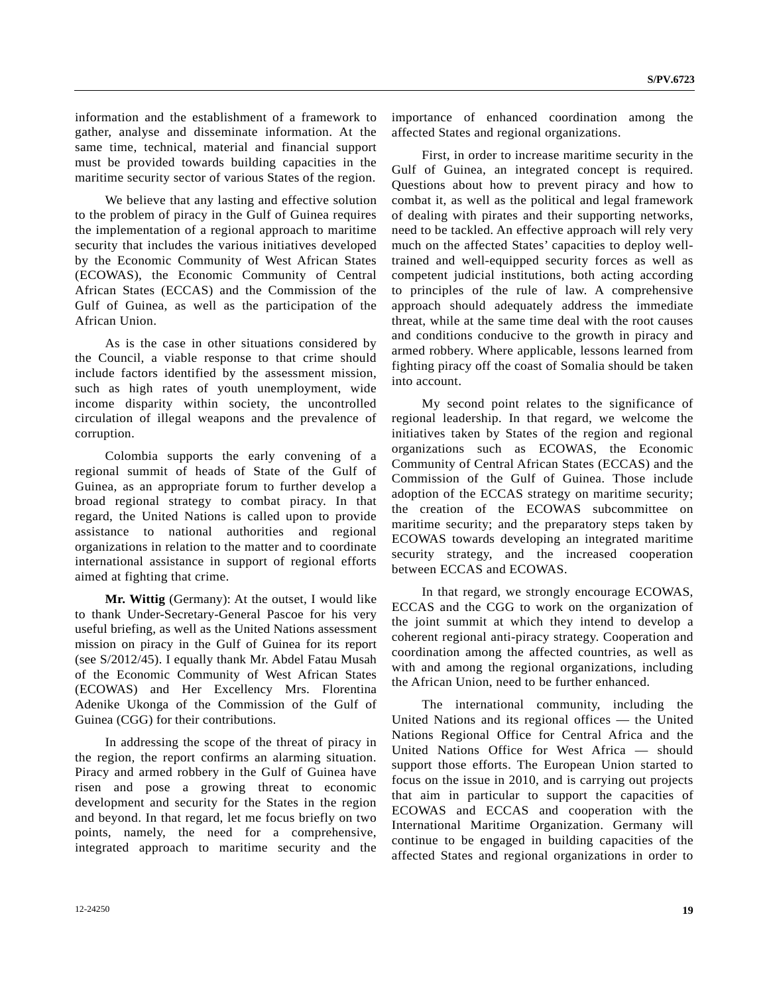information and the establishment of a framework to gather, analyse and disseminate information. At the same time, technical, material and financial support must be provided towards building capacities in the maritime security sector of various States of the region.

 We believe that any lasting and effective solution to the problem of piracy in the Gulf of Guinea requires the implementation of a regional approach to maritime security that includes the various initiatives developed by the Economic Community of West African States (ECOWAS), the Economic Community of Central African States (ECCAS) and the Commission of the Gulf of Guinea, as well as the participation of the African Union.

 As is the case in other situations considered by the Council, a viable response to that crime should include factors identified by the assessment mission, such as high rates of youth unemployment, wide income disparity within society, the uncontrolled circulation of illegal weapons and the prevalence of corruption.

 Colombia supports the early convening of a regional summit of heads of State of the Gulf of Guinea, as an appropriate forum to further develop a broad regional strategy to combat piracy. In that regard, the United Nations is called upon to provide assistance to national authorities and regional organizations in relation to the matter and to coordinate international assistance in support of regional efforts aimed at fighting that crime.

**Mr. Wittig** (Germany): At the outset, I would like to thank Under-Secretary-General Pascoe for his very useful briefing, as well as the United Nations assessment mission on piracy in the Gulf of Guinea for its report (see S/2012/45). I equally thank Mr. Abdel Fatau Musah of the Economic Community of West African States (ECOWAS) and Her Excellency Mrs. Florentina Adenike Ukonga of the Commission of the Gulf of Guinea (CGG) for their contributions.

 In addressing the scope of the threat of piracy in the region, the report confirms an alarming situation. Piracy and armed robbery in the Gulf of Guinea have risen and pose a growing threat to economic development and security for the States in the region and beyond. In that regard, let me focus briefly on two points, namely, the need for a comprehensive, integrated approach to maritime security and the importance of enhanced coordination among the affected States and regional organizations.

 First, in order to increase maritime security in the Gulf of Guinea, an integrated concept is required. Questions about how to prevent piracy and how to combat it, as well as the political and legal framework of dealing with pirates and their supporting networks, need to be tackled. An effective approach will rely very much on the affected States' capacities to deploy welltrained and well-equipped security forces as well as competent judicial institutions, both acting according to principles of the rule of law. A comprehensive approach should adequately address the immediate threat, while at the same time deal with the root causes and conditions conducive to the growth in piracy and armed robbery. Where applicable, lessons learned from fighting piracy off the coast of Somalia should be taken into account.

 My second point relates to the significance of regional leadership. In that regard, we welcome the initiatives taken by States of the region and regional organizations such as ECOWAS, the Economic Community of Central African States (ECCAS) and the Commission of the Gulf of Guinea. Those include adoption of the ECCAS strategy on maritime security; the creation of the ECOWAS subcommittee on maritime security; and the preparatory steps taken by ECOWAS towards developing an integrated maritime security strategy, and the increased cooperation between ECCAS and ECOWAS.

 In that regard, we strongly encourage ECOWAS, ECCAS and the CGG to work on the organization of the joint summit at which they intend to develop a coherent regional anti-piracy strategy. Cooperation and coordination among the affected countries, as well as with and among the regional organizations, including the African Union, need to be further enhanced.

 The international community, including the United Nations and its regional offices — the United Nations Regional Office for Central Africa and the United Nations Office for West Africa — should support those efforts. The European Union started to focus on the issue in 2010, and is carrying out projects that aim in particular to support the capacities of ECOWAS and ECCAS and cooperation with the International Maritime Organization. Germany will continue to be engaged in building capacities of the affected States and regional organizations in order to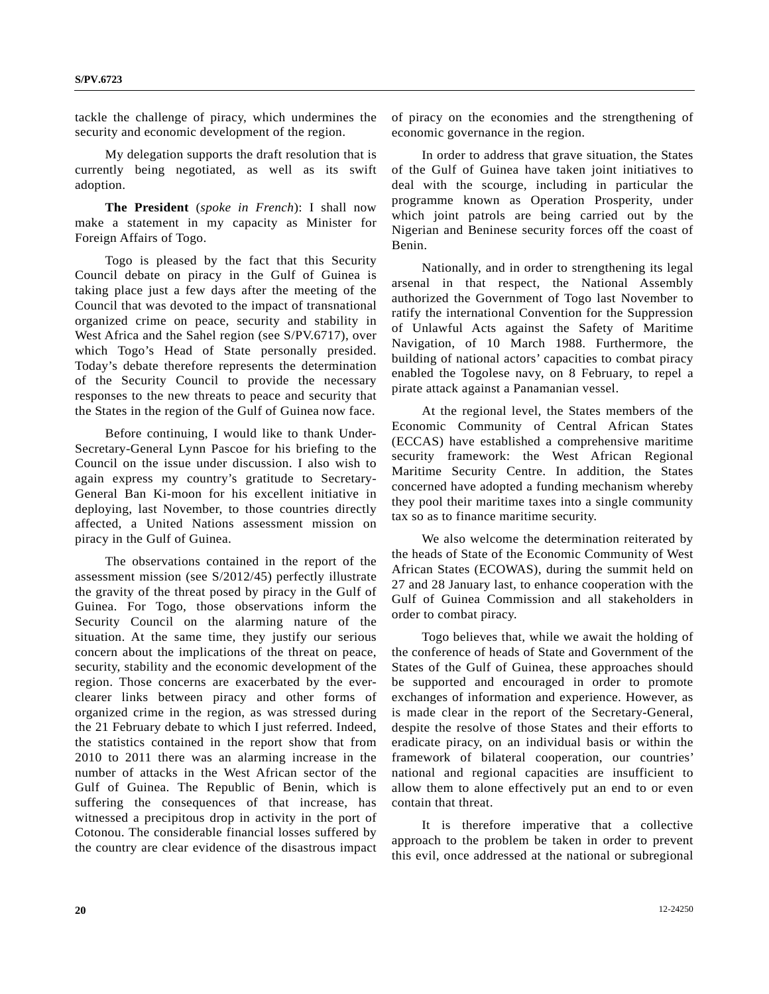tackle the challenge of piracy, which undermines the security and economic development of the region.

 My delegation supports the draft resolution that is currently being negotiated, as well as its swift adoption.

 **The President** (*spoke in French*): I shall now make a statement in my capacity as Minister for Foreign Affairs of Togo.

 Togo is pleased by the fact that this Security Council debate on piracy in the Gulf of Guinea is taking place just a few days after the meeting of the Council that was devoted to the impact of transnational organized crime on peace, security and stability in West Africa and the Sahel region (see S/PV.6717), over which Togo's Head of State personally presided. Today's debate therefore represents the determination of the Security Council to provide the necessary responses to the new threats to peace and security that the States in the region of the Gulf of Guinea now face.

 Before continuing, I would like to thank Under-Secretary-General Lynn Pascoe for his briefing to the Council on the issue under discussion. I also wish to again express my country's gratitude to Secretary-General Ban Ki-moon for his excellent initiative in deploying, last November, to those countries directly affected, a United Nations assessment mission on piracy in the Gulf of Guinea.

 The observations contained in the report of the assessment mission (see S/2012/45) perfectly illustrate the gravity of the threat posed by piracy in the Gulf of Guinea. For Togo, those observations inform the Security Council on the alarming nature of the situation. At the same time, they justify our serious concern about the implications of the threat on peace, security, stability and the economic development of the region. Those concerns are exacerbated by the everclearer links between piracy and other forms of organized crime in the region, as was stressed during the 21 February debate to which I just referred. Indeed, the statistics contained in the report show that from 2010 to 2011 there was an alarming increase in the number of attacks in the West African sector of the Gulf of Guinea. The Republic of Benin, which is suffering the consequences of that increase, has witnessed a precipitous drop in activity in the port of Cotonou. The considerable financial losses suffered by the country are clear evidence of the disastrous impact of piracy on the economies and the strengthening of economic governance in the region.

 In order to address that grave situation, the States of the Gulf of Guinea have taken joint initiatives to deal with the scourge, including in particular the programme known as Operation Prosperity, under which joint patrols are being carried out by the Nigerian and Beninese security forces off the coast of Benin.

 Nationally, and in order to strengthening its legal arsenal in that respect, the National Assembly authorized the Government of Togo last November to ratify the international Convention for the Suppression of Unlawful Acts against the Safety of Maritime Navigation, of 10 March 1988. Furthermore, the building of national actors' capacities to combat piracy enabled the Togolese navy, on 8 February, to repel a pirate attack against a Panamanian vessel.

 At the regional level, the States members of the Economic Community of Central African States (ECCAS) have established a comprehensive maritime security framework: the West African Regional Maritime Security Centre. In addition, the States concerned have adopted a funding mechanism whereby they pool their maritime taxes into a single community tax so as to finance maritime security.

 We also welcome the determination reiterated by the heads of State of the Economic Community of West African States (ECOWAS), during the summit held on 27 and 28 January last, to enhance cooperation with the Gulf of Guinea Commission and all stakeholders in order to combat piracy.

 Togo believes that, while we await the holding of the conference of heads of State and Government of the States of the Gulf of Guinea, these approaches should be supported and encouraged in order to promote exchanges of information and experience. However, as is made clear in the report of the Secretary-General, despite the resolve of those States and their efforts to eradicate piracy, on an individual basis or within the framework of bilateral cooperation, our countries' national and regional capacities are insufficient to allow them to alone effectively put an end to or even contain that threat.

 It is therefore imperative that a collective approach to the problem be taken in order to prevent this evil, once addressed at the national or subregional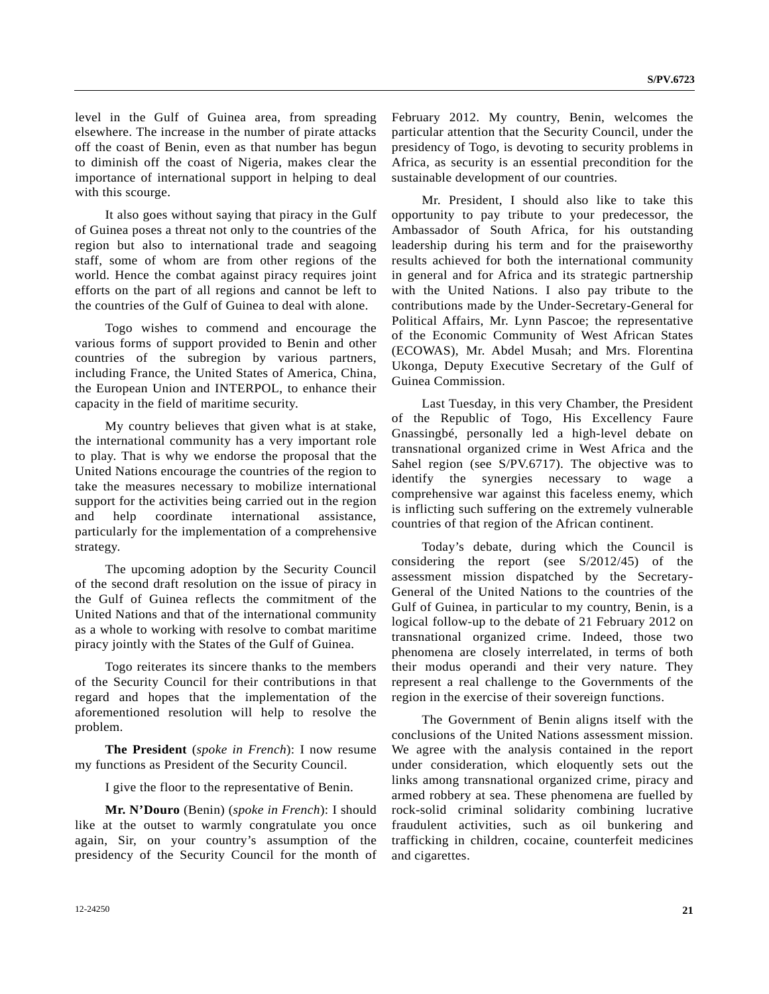level in the Gulf of Guinea area, from spreading elsewhere. The increase in the number of pirate attacks off the coast of Benin, even as that number has begun to diminish off the coast of Nigeria, makes clear the importance of international support in helping to deal with this scourge.

 It also goes without saying that piracy in the Gulf of Guinea poses a threat not only to the countries of the region but also to international trade and seagoing staff, some of whom are from other regions of the world. Hence the combat against piracy requires joint efforts on the part of all regions and cannot be left to the countries of the Gulf of Guinea to deal with alone.

 Togo wishes to commend and encourage the various forms of support provided to Benin and other countries of the subregion by various partners, including France, the United States of America, China, the European Union and INTERPOL, to enhance their capacity in the field of maritime security.

 My country believes that given what is at stake, the international community has a very important role to play. That is why we endorse the proposal that the United Nations encourage the countries of the region to take the measures necessary to mobilize international support for the activities being carried out in the region and help coordinate international assistance, particularly for the implementation of a comprehensive strategy.

 The upcoming adoption by the Security Council of the second draft resolution on the issue of piracy in the Gulf of Guinea reflects the commitment of the United Nations and that of the international community as a whole to working with resolve to combat maritime piracy jointly with the States of the Gulf of Guinea.

 Togo reiterates its sincere thanks to the members of the Security Council for their contributions in that regard and hopes that the implementation of the aforementioned resolution will help to resolve the problem.

**The President** (*spoke in French*): I now resume my functions as President of the Security Council.

I give the floor to the representative of Benin.

**Mr. N'Douro** (Benin) (*spoke in French*): I should like at the outset to warmly congratulate you once again, Sir, on your country's assumption of the presidency of the Security Council for the month of February 2012. My country, Benin, welcomes the particular attention that the Security Council, under the presidency of Togo, is devoting to security problems in Africa, as security is an essential precondition for the sustainable development of our countries.

 Mr. President, I should also like to take this opportunity to pay tribute to your predecessor, the Ambassador of South Africa, for his outstanding leadership during his term and for the praiseworthy results achieved for both the international community in general and for Africa and its strategic partnership with the United Nations. I also pay tribute to the contributions made by the Under-Secretary-General for Political Affairs, Mr. Lynn Pascoe; the representative of the Economic Community of West African States (ECOWAS), Mr. Abdel Musah; and Mrs. Florentina Ukonga, Deputy Executive Secretary of the Gulf of Guinea Commission.

 Last Tuesday, in this very Chamber, the President of the Republic of Togo, His Excellency Faure Gnassingbé, personally led a high-level debate on transnational organized crime in West Africa and the Sahel region (see S/PV.6717). The objective was to identify the synergies necessary to wage a comprehensive war against this faceless enemy, which is inflicting such suffering on the extremely vulnerable countries of that region of the African continent.

 Today's debate, during which the Council is considering the report (see S/2012/45) of the assessment mission dispatched by the Secretary-General of the United Nations to the countries of the Gulf of Guinea, in particular to my country, Benin, is a logical follow-up to the debate of 21 February 2012 on transnational organized crime. Indeed, those two phenomena are closely interrelated, in terms of both their modus operandi and their very nature. They represent a real challenge to the Governments of the region in the exercise of their sovereign functions.

 The Government of Benin aligns itself with the conclusions of the United Nations assessment mission. We agree with the analysis contained in the report under consideration, which eloquently sets out the links among transnational organized crime, piracy and armed robbery at sea. These phenomena are fuelled by rock-solid criminal solidarity combining lucrative fraudulent activities, such as oil bunkering and trafficking in children, cocaine, counterfeit medicines and cigarettes.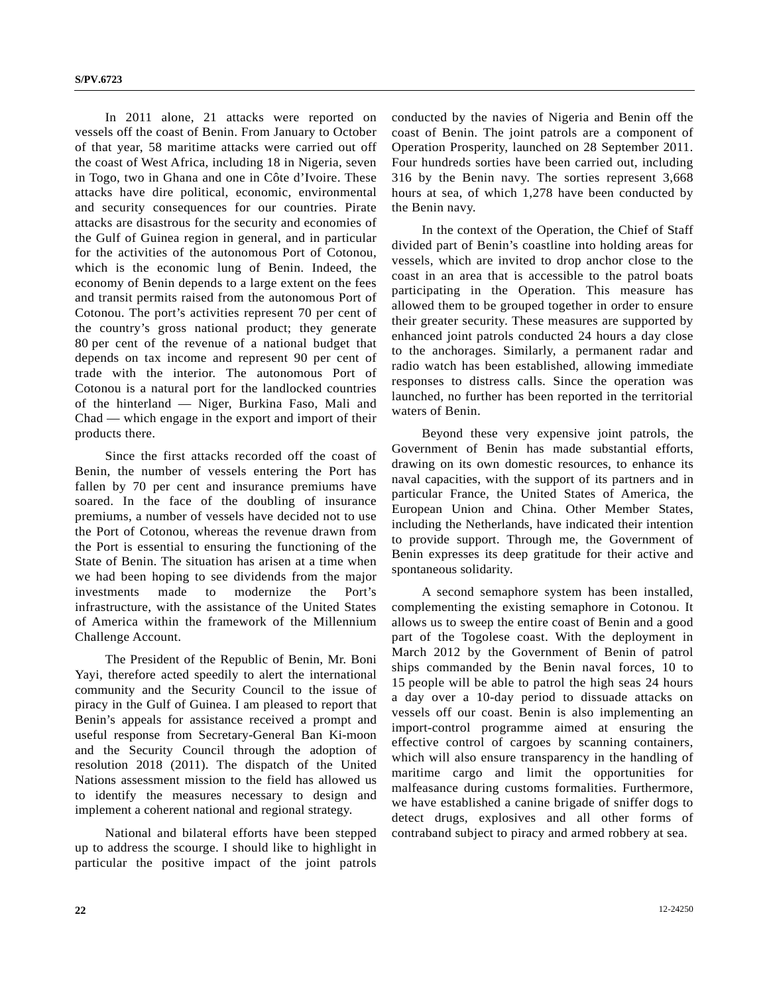In 2011 alone, 21 attacks were reported on vessels off the coast of Benin. From January to October of that year, 58 maritime attacks were carried out off the coast of West Africa, including 18 in Nigeria, seven in Togo, two in Ghana and one in Côte d'Ivoire. These attacks have dire political, economic, environmental and security consequences for our countries. Pirate attacks are disastrous for the security and economies of the Gulf of Guinea region in general, and in particular for the activities of the autonomous Port of Cotonou, which is the economic lung of Benin. Indeed, the economy of Benin depends to a large extent on the fees and transit permits raised from the autonomous Port of Cotonou. The port's activities represent 70 per cent of the country's gross national product; they generate 80 per cent of the revenue of a national budget that depends on tax income and represent 90 per cent of trade with the interior. The autonomous Port of Cotonou is a natural port for the landlocked countries of the hinterland — Niger, Burkina Faso, Mali and Chad — which engage in the export and import of their products there.

 Since the first attacks recorded off the coast of Benin, the number of vessels entering the Port has fallen by 70 per cent and insurance premiums have soared. In the face of the doubling of insurance premiums, a number of vessels have decided not to use the Port of Cotonou, whereas the revenue drawn from the Port is essential to ensuring the functioning of the State of Benin. The situation has arisen at a time when we had been hoping to see dividends from the major investments made to modernize the Port's infrastructure, with the assistance of the United States of America within the framework of the Millennium Challenge Account.

 The President of the Republic of Benin, Mr. Boni Yayi, therefore acted speedily to alert the international community and the Security Council to the issue of piracy in the Gulf of Guinea. I am pleased to report that Benin's appeals for assistance received a prompt and useful response from Secretary-General Ban Ki-moon and the Security Council through the adoption of resolution 2018 (2011). The dispatch of the United Nations assessment mission to the field has allowed us to identify the measures necessary to design and implement a coherent national and regional strategy.

 National and bilateral efforts have been stepped up to address the scourge. I should like to highlight in particular the positive impact of the joint patrols conducted by the navies of Nigeria and Benin off the coast of Benin. The joint patrols are a component of Operation Prosperity, launched on 28 September 2011. Four hundreds sorties have been carried out, including 316 by the Benin navy. The sorties represent 3,668 hours at sea, of which 1,278 have been conducted by the Benin navy.

 In the context of the Operation, the Chief of Staff divided part of Benin's coastline into holding areas for vessels, which are invited to drop anchor close to the coast in an area that is accessible to the patrol boats participating in the Operation. This measure has allowed them to be grouped together in order to ensure their greater security. These measures are supported by enhanced joint patrols conducted 24 hours a day close to the anchorages. Similarly, a permanent radar and radio watch has been established, allowing immediate responses to distress calls. Since the operation was launched, no further has been reported in the territorial waters of Benin.

 Beyond these very expensive joint patrols, the Government of Benin has made substantial efforts, drawing on its own domestic resources, to enhance its naval capacities, with the support of its partners and in particular France, the United States of America, the European Union and China. Other Member States, including the Netherlands, have indicated their intention to provide support. Through me, the Government of Benin expresses its deep gratitude for their active and spontaneous solidarity.

 A second semaphore system has been installed, complementing the existing semaphore in Cotonou. It allows us to sweep the entire coast of Benin and a good part of the Togolese coast. With the deployment in March 2012 by the Government of Benin of patrol ships commanded by the Benin naval forces, 10 to 15 people will be able to patrol the high seas 24 hours a day over a 10-day period to dissuade attacks on vessels off our coast. Benin is also implementing an import-control programme aimed at ensuring the effective control of cargoes by scanning containers, which will also ensure transparency in the handling of maritime cargo and limit the opportunities for malfeasance during customs formalities. Furthermore, we have established a canine brigade of sniffer dogs to detect drugs, explosives and all other forms of contraband subject to piracy and armed robbery at sea.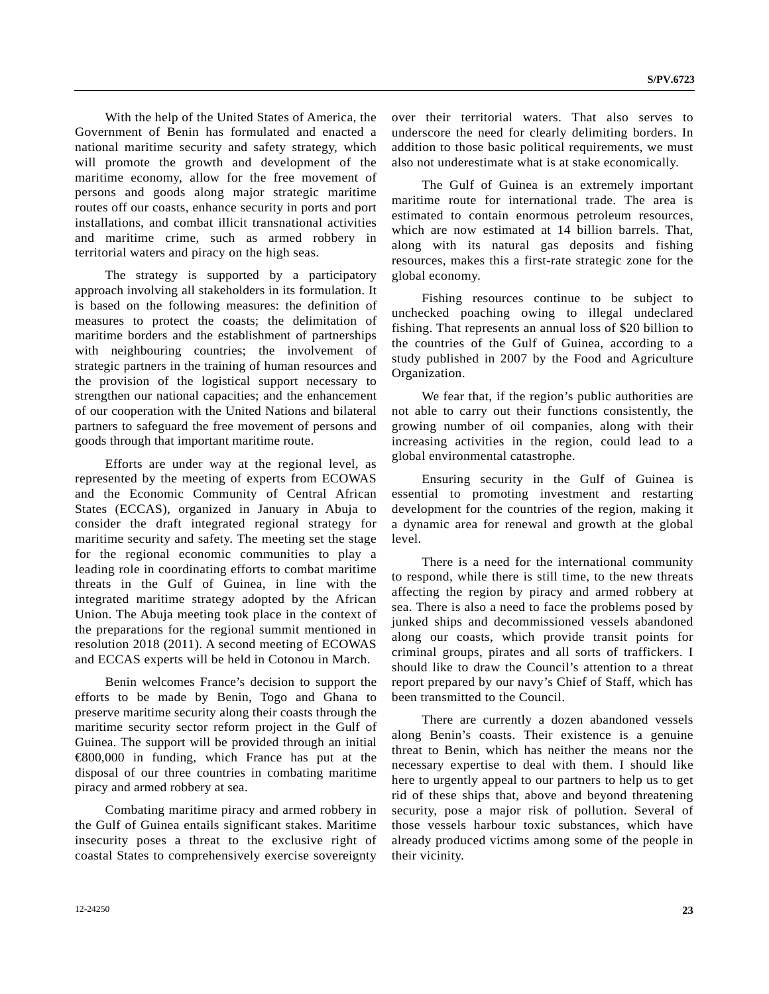With the help of the United States of America, the Government of Benin has formulated and enacted a national maritime security and safety strategy, which will promote the growth and development of the maritime economy, allow for the free movement of persons and goods along major strategic maritime routes off our coasts, enhance security in ports and port installations, and combat illicit transnational activities and maritime crime, such as armed robbery in territorial waters and piracy on the high seas.

 The strategy is supported by a participatory approach involving all stakeholders in its formulation. It is based on the following measures: the definition of measures to protect the coasts; the delimitation of maritime borders and the establishment of partnerships with neighbouring countries; the involvement of strategic partners in the training of human resources and the provision of the logistical support necessary to strengthen our national capacities; and the enhancement of our cooperation with the United Nations and bilateral partners to safeguard the free movement of persons and goods through that important maritime route.

 Efforts are under way at the regional level, as represented by the meeting of experts from ECOWAS and the Economic Community of Central African States (ECCAS), organized in January in Abuja to consider the draft integrated regional strategy for maritime security and safety. The meeting set the stage for the regional economic communities to play a leading role in coordinating efforts to combat maritime threats in the Gulf of Guinea, in line with the integrated maritime strategy adopted by the African Union. The Abuja meeting took place in the context of the preparations for the regional summit mentioned in resolution 2018 (2011). A second meeting of ECOWAS and ECCAS experts will be held in Cotonou in March.

 Benin welcomes France's decision to support the efforts to be made by Benin, Togo and Ghana to preserve maritime security along their coasts through the maritime security sector reform project in the Gulf of Guinea. The support will be provided through an initial €800,000 in funding, which France has put at the disposal of our three countries in combating maritime piracy and armed robbery at sea.

 Combating maritime piracy and armed robbery in the Gulf of Guinea entails significant stakes. Maritime insecurity poses a threat to the exclusive right of coastal States to comprehensively exercise sovereignty over their territorial waters. That also serves to underscore the need for clearly delimiting borders. In addition to those basic political requirements, we must also not underestimate what is at stake economically.

 The Gulf of Guinea is an extremely important maritime route for international trade. The area is estimated to contain enormous petroleum resources, which are now estimated at 14 billion barrels. That, along with its natural gas deposits and fishing resources, makes this a first-rate strategic zone for the global economy.

 Fishing resources continue to be subject to unchecked poaching owing to illegal undeclared fishing. That represents an annual loss of \$20 billion to the countries of the Gulf of Guinea, according to a study published in 2007 by the Food and Agriculture Organization.

 We fear that, if the region's public authorities are not able to carry out their functions consistently, the growing number of oil companies, along with their increasing activities in the region, could lead to a global environmental catastrophe.

 Ensuring security in the Gulf of Guinea is essential to promoting investment and restarting development for the countries of the region, making it a dynamic area for renewal and growth at the global level.

 There is a need for the international community to respond, while there is still time, to the new threats affecting the region by piracy and armed robbery at sea. There is also a need to face the problems posed by junked ships and decommissioned vessels abandoned along our coasts, which provide transit points for criminal groups, pirates and all sorts of traffickers. I should like to draw the Council's attention to a threat report prepared by our navy's Chief of Staff, which has been transmitted to the Council.

 There are currently a dozen abandoned vessels along Benin's coasts. Their existence is a genuine threat to Benin, which has neither the means nor the necessary expertise to deal with them. I should like here to urgently appeal to our partners to help us to get rid of these ships that, above and beyond threatening security, pose a major risk of pollution. Several of those vessels harbour toxic substances, which have already produced victims among some of the people in their vicinity.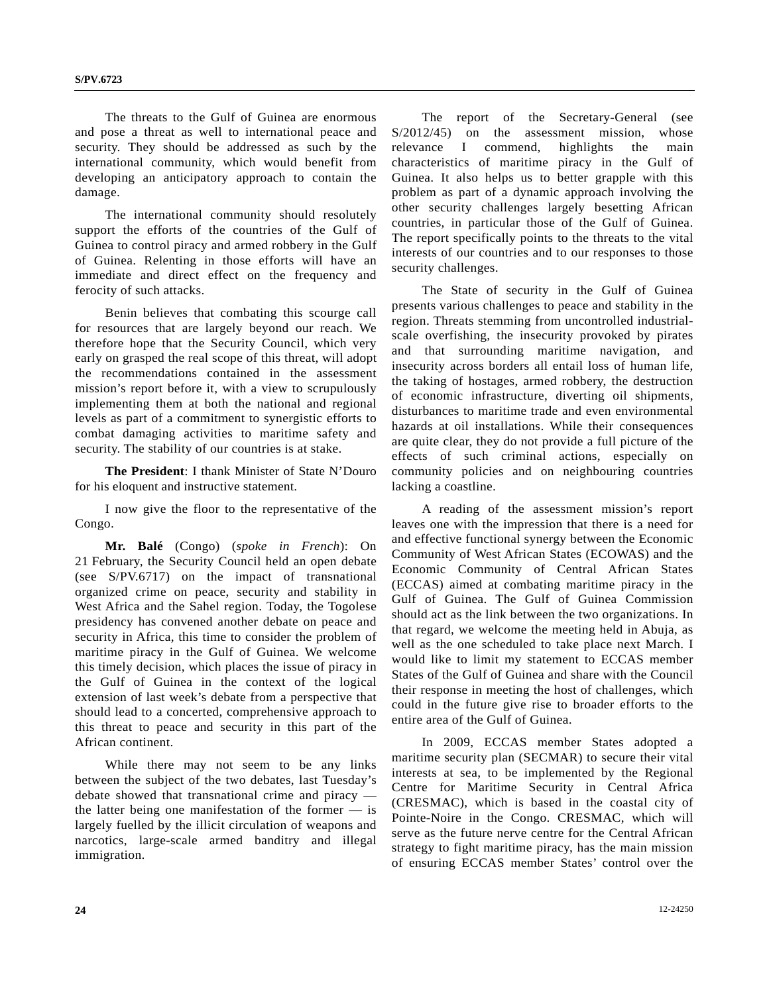The threats to the Gulf of Guinea are enormous and pose a threat as well to international peace and security. They should be addressed as such by the international community, which would benefit from developing an anticipatory approach to contain the damage.

 The international community should resolutely support the efforts of the countries of the Gulf of Guinea to control piracy and armed robbery in the Gulf of Guinea. Relenting in those efforts will have an immediate and direct effect on the frequency and ferocity of such attacks.

 Benin believes that combating this scourge call for resources that are largely beyond our reach. We therefore hope that the Security Council, which very early on grasped the real scope of this threat, will adopt the recommendations contained in the assessment mission's report before it, with a view to scrupulously implementing them at both the national and regional levels as part of a commitment to synergistic efforts to combat damaging activities to maritime safety and security. The stability of our countries is at stake.

**The President**: I thank Minister of State N'Douro for his eloquent and instructive statement.

 I now give the floor to the representative of the Congo.

**Mr. Balé** (Congo) (*spoke in French*): On 21 February, the Security Council held an open debate (see S/PV.6717) on the impact of transnational organized crime on peace, security and stability in West Africa and the Sahel region. Today, the Togolese presidency has convened another debate on peace and security in Africa, this time to consider the problem of maritime piracy in the Gulf of Guinea. We welcome this timely decision, which places the issue of piracy in the Gulf of Guinea in the context of the logical extension of last week's debate from a perspective that should lead to a concerted, comprehensive approach to this threat to peace and security in this part of the African continent.

 While there may not seem to be any links between the subject of the two debates, last Tuesday's debate showed that transnational crime and piracy the latter being one manifestation of the former — is largely fuelled by the illicit circulation of weapons and narcotics, large-scale armed banditry and illegal immigration.

 The report of the Secretary-General (see S/2012/45) on the assessment mission, whose relevance I commend, highlights the main characteristics of maritime piracy in the Gulf of Guinea. It also helps us to better grapple with this problem as part of a dynamic approach involving the other security challenges largely besetting African countries, in particular those of the Gulf of Guinea. The report specifically points to the threats to the vital interests of our countries and to our responses to those security challenges.

 The State of security in the Gulf of Guinea presents various challenges to peace and stability in the region. Threats stemming from uncontrolled industrialscale overfishing, the insecurity provoked by pirates and that surrounding maritime navigation, and insecurity across borders all entail loss of human life, the taking of hostages, armed robbery, the destruction of economic infrastructure, diverting oil shipments, disturbances to maritime trade and even environmental hazards at oil installations. While their consequences are quite clear, they do not provide a full picture of the effects of such criminal actions, especially on community policies and on neighbouring countries lacking a coastline.

 A reading of the assessment mission's report leaves one with the impression that there is a need for and effective functional synergy between the Economic Community of West African States (ECOWAS) and the Economic Community of Central African States (ECCAS) aimed at combating maritime piracy in the Gulf of Guinea. The Gulf of Guinea Commission should act as the link between the two organizations. In that regard, we welcome the meeting held in Abuja, as well as the one scheduled to take place next March. I would like to limit my statement to ECCAS member States of the Gulf of Guinea and share with the Council their response in meeting the host of challenges, which could in the future give rise to broader efforts to the entire area of the Gulf of Guinea.

 In 2009, ECCAS member States adopted a maritime security plan (SECMAR) to secure their vital interests at sea, to be implemented by the Regional Centre for Maritime Security in Central Africa (CRESMAC), which is based in the coastal city of Pointe-Noire in the Congo. CRESMAC, which will serve as the future nerve centre for the Central African strategy to fight maritime piracy, has the main mission of ensuring ECCAS member States' control over the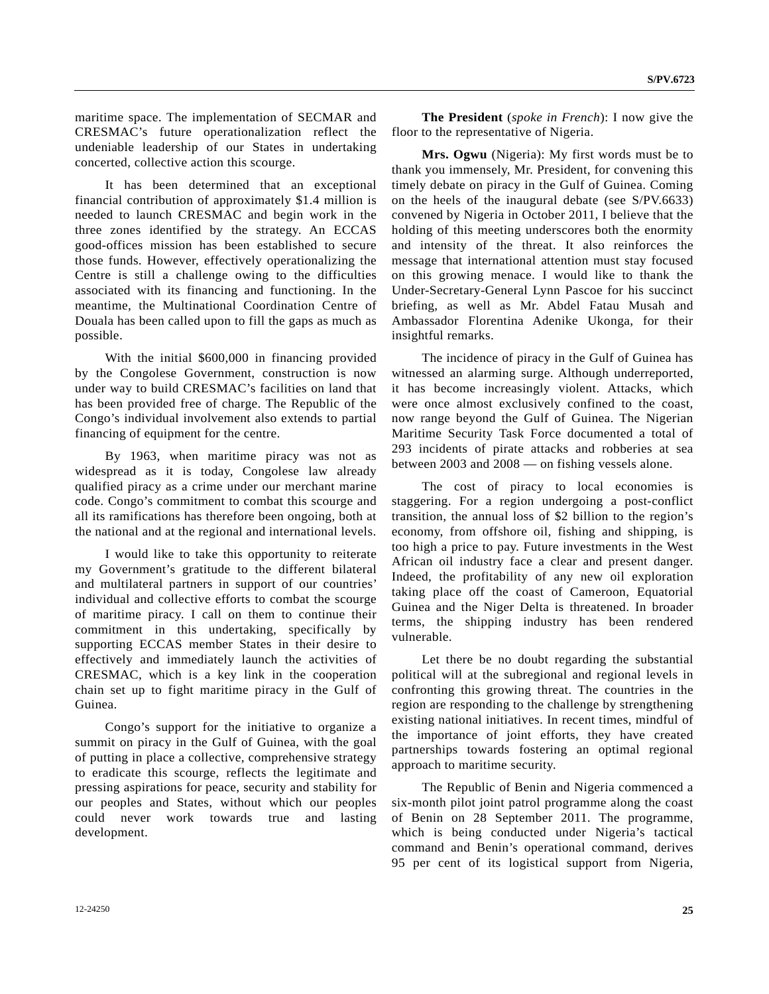maritime space. The implementation of SECMAR and CRESMAC's future operationalization reflect the undeniable leadership of our States in undertaking concerted, collective action this scourge.

 It has been determined that an exceptional financial contribution of approximately \$1.4 million is needed to launch CRESMAC and begin work in the three zones identified by the strategy. An ECCAS good-offices mission has been established to secure those funds. However, effectively operationalizing the Centre is still a challenge owing to the difficulties associated with its financing and functioning. In the meantime, the Multinational Coordination Centre of Douala has been called upon to fill the gaps as much as possible.

 With the initial \$600,000 in financing provided by the Congolese Government, construction is now under way to build CRESMAC's facilities on land that has been provided free of charge. The Republic of the Congo's individual involvement also extends to partial financing of equipment for the centre.

 By 1963, when maritime piracy was not as widespread as it is today, Congolese law already qualified piracy as a crime under our merchant marine code. Congo's commitment to combat this scourge and all its ramifications has therefore been ongoing, both at the national and at the regional and international levels.

 I would like to take this opportunity to reiterate my Government's gratitude to the different bilateral and multilateral partners in support of our countries' individual and collective efforts to combat the scourge of maritime piracy. I call on them to continue their commitment in this undertaking, specifically by supporting ECCAS member States in their desire to effectively and immediately launch the activities of CRESMAC, which is a key link in the cooperation chain set up to fight maritime piracy in the Gulf of Guinea.

 Congo's support for the initiative to organize a summit on piracy in the Gulf of Guinea, with the goal of putting in place a collective, comprehensive strategy to eradicate this scourge, reflects the legitimate and pressing aspirations for peace, security and stability for our peoples and States, without which our peoples could never work towards true and lasting development.

 **The President** (*spoke in French*): I now give the floor to the representative of Nigeria.

 **Mrs. Ogwu** (Nigeria): My first words must be to thank you immensely, Mr. President, for convening this timely debate on piracy in the Gulf of Guinea. Coming on the heels of the inaugural debate (see S/PV.6633) convened by Nigeria in October 2011, I believe that the holding of this meeting underscores both the enormity and intensity of the threat. It also reinforces the message that international attention must stay focused on this growing menace. I would like to thank the Under-Secretary-General Lynn Pascoe for his succinct briefing, as well as Mr. Abdel Fatau Musah and Ambassador Florentina Adenike Ukonga, for their insightful remarks.

 The incidence of piracy in the Gulf of Guinea has witnessed an alarming surge. Although underreported, it has become increasingly violent. Attacks, which were once almost exclusively confined to the coast, now range beyond the Gulf of Guinea. The Nigerian Maritime Security Task Force documented a total of 293 incidents of pirate attacks and robberies at sea between 2003 and 2008 — on fishing vessels alone.

 The cost of piracy to local economies is staggering. For a region undergoing a post-conflict transition, the annual loss of \$2 billion to the region's economy, from offshore oil, fishing and shipping, is too high a price to pay. Future investments in the West African oil industry face a clear and present danger. Indeed, the profitability of any new oil exploration taking place off the coast of Cameroon, Equatorial Guinea and the Niger Delta is threatened. In broader terms, the shipping industry has been rendered vulnerable.

 Let there be no doubt regarding the substantial political will at the subregional and regional levels in confronting this growing threat. The countries in the region are responding to the challenge by strengthening existing national initiatives. In recent times, mindful of the importance of joint efforts, they have created partnerships towards fostering an optimal regional approach to maritime security.

 The Republic of Benin and Nigeria commenced a six-month pilot joint patrol programme along the coast of Benin on 28 September 2011. The programme, which is being conducted under Nigeria's tactical command and Benin's operational command, derives 95 per cent of its logistical support from Nigeria,